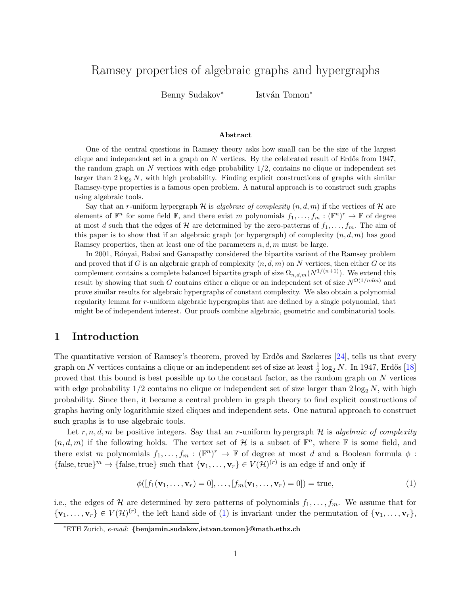# Ramsey properties of algebraic graphs and hypergraphs

Benny Sudakov<sup>∗</sup>

István Tomon<sup>\*</sup>

#### Abstract

One of the central questions in Ramsey theory asks how small can be the size of the largest clique and independent set in a graph on  $N$  vertices. By the celebrated result of Erdős from 1947, the random graph on  $N$  vertices with edge probability  $1/2$ , contains no clique or independent set larger than  $2 \log_2 N$ , with high probability. Finding explicit constructions of graphs with similar Ramsey-type properties is a famous open problem. A natural approach is to construct such graphs using algebraic tools.

Say that an r-uniform hypergraph  $H$  is algebraic of complexity  $(n, d, m)$  if the vertices of H are elements of  $\mathbb{F}^n$  for some field  $\mathbb{F}$ , and there exist m polynomials  $f_1, \ldots, f_m : (\mathbb{F}^n)^r \to \mathbb{F}$  of degree at most d such that the edges of H are determined by the zero-patterns of  $f_1, \ldots, f_m$ . The aim of this paper is to show that if an algebraic graph (or hypergraph) of complexity  $(n, d, m)$  has good Ramsey properties, then at least one of the parameters  $n, d, m$  must be large.

In 2001, Rónyai, Babai and Ganapathy considered the bipartite variant of the Ramsey problem and proved that if G is an algebraic graph of complexity  $(n, d, m)$  on N vertices, then either G or its complement contains a complete balanced bipartite graph of size  $\Omega_{n,d,m}(N^{1/(n+1)})$ . We extend this result by showing that such G contains either a clique or an independent set of size  $N^{\Omega(1/ndm)}$  and prove similar results for algebraic hypergraphs of constant complexity. We also obtain a polynomial regularity lemma for r-uniform algebraic hypergraphs that are defined by a single polynomial, that might be of independent interest. Our proofs combine algebraic, geometric and combinatorial tools.

### 1 Introduction

The quantitative version of Ramsey's theorem, proved by Erdős and Szekeres [\[24\]](#page-21-0), tells us that every graph on  $N$  vertices contains a clique or an independent set of size at least  $\frac{1}{2}\log_2 N$ . In 1947, Erdős [\[18\]](#page-21-1) proved that this bound is best possible up to the constant factor, as the random graph on  $N$  vertices with edge probability  $1/2$  contains no clique or independent set of size larger than  $2 \log_2 N$ , with high probability. Since then, it became a central problem in graph theory to find explicit constructions of graphs having only logarithmic sized cliques and independent sets. One natural approach to construct such graphs is to use algebraic tools.

Let  $r, n, d, m$  be positive integers. Say that an r-uniform hypergraph  $H$  is algebraic of complexity  $(n, d, m)$  if the following holds. The vertex set of H is a subset of  $\mathbb{F}^n$ , where F is some field, and there exist m polynomials  $f_1, \ldots, f_m : (\mathbb{F}^n)^r \to \mathbb{F}$  of degree at most d and a Boolean formula  $\phi$ : {false, true}<sup>m</sup>  $\rightarrow$  {false, true} such that {**v**<sub>1</sub>, ..., **v**<sub>r</sub>}  $\in V(H)^{(r)}$  is an edge if and only if

<span id="page-0-0"></span>
$$
\phi([f_1(\mathbf{v}_1,\ldots,\mathbf{v}_r)=0],\ldots,[f_m(\mathbf{v}_1,\ldots,\mathbf{v}_r)=0]) = \text{true},\tag{1}
$$

i.e., the edges of H are determined by zero patterns of polynomials  $f_1, \ldots, f_m$ . We assume that for  ${\mathbf v}_1, \ldots, {\mathbf v}_r \in V(\mathcal{H})^{(r)}$ , the left hand side of [\(1\)](#page-0-0) is invariant under the permutation of  ${\mathbf v}_1, \ldots, {\mathbf v}_r$ ,

<sup>∗</sup>ETH Zurich, e-mail: {benjamin.sudakov,istvan.tomon}@math.ethz.ch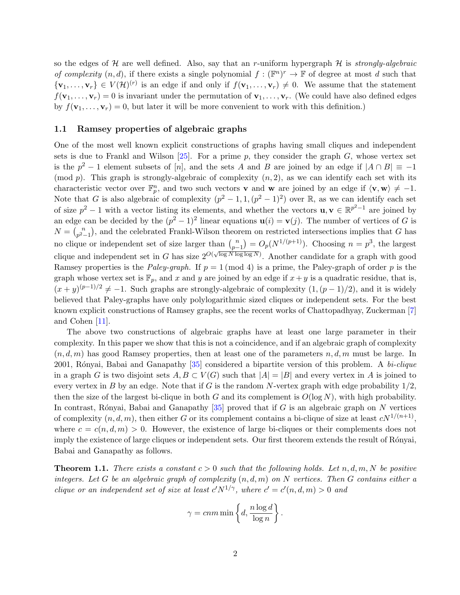so the edges of  $\mathcal H$  are well defined. Also, say that an r-uniform hypergraph  $\mathcal H$  is *strongly-algebraic* of complexity  $(n, d)$ , if there exists a single polynomial  $f : (\mathbb{F}^n)^r \to \mathbb{F}$  of degree at most d such that  ${\mathbf v}_1, \ldots, {\mathbf v}_r \in V(\mathcal{H})^{(r)}$  is an edge if and only if  $f({\mathbf v}_1, \ldots, {\mathbf v}_r) \neq 0$ . We assume that the statement  $f(\mathbf{v}_1,\ldots,\mathbf{v}_r)=0$  is invariant under the permutation of  $\mathbf{v}_1,\ldots,\mathbf{v}_r$ . (We could have also defined edges by  $f(\mathbf{v}_1,\ldots,\mathbf{v}_r)=0$ , but later it will be more convenient to work with this definition.)

#### 1.1 Ramsey properties of algebraic graphs

One of the most well known explicit constructions of graphs having small cliques and independent sets is due to Frankl and Wilson  $[25]$ . For a prime p, they consider the graph G, whose vertex set is the  $p^2 - 1$  element subsets of [n], and the sets A and B are joined by an edge if  $|A \cap B| = -1$ (mod p). This graph is strongly-algebraic of complexity  $(n, 2)$ , as we can identify each set with its characteristic vector over  $\mathbb{F}_p^n$ , and two such vectors **v** and **w** are joined by an edge if  $\langle \mathbf{v}, \mathbf{w} \rangle \neq -1$ . Note that G is also algebraic of complexity  $(p^2-1,1,(p^2-1)^2)$  over R, as we can identify each set of size  $p^2 - 1$  with a vector listing its elements, and whether the vectors  $\mathbf{u}, \mathbf{v} \in \mathbb{R}^{p^2-1}$  are joined by an edge can be decided by the  $(p^2 - 1)^2$  linear equations  $\mathbf{u}(i) = \mathbf{v}(j)$ . The number of vertices of G is  $N = {n \choose n^2}$  $p_{2-1}^{n}$ ), and the celebrated Frankl-Wilson theorem on restricted intersections implies that G has no clique or independent set of size larger than  $\binom{n}{n}$  $p_{p-1}^{(n)} = O_p(N^{1/(p+1)})$ . Choosing  $n = p^3$ , the largest clique and independent set in G has size  $2^{O(\sqrt{\log N \log \log N})}$ . Another candidate for a graph with good Ramsey properties is the Paley-graph. If  $p = 1 \pmod{4}$  is a prime, the Paley-graph of order p is the graph whose vertex set is  $\mathbb{F}_p$ , and x and y are joined by an edge if  $x + y$  is a quadratic residue, that is,  $(x+y)^{(p-1)/2} \neq -1$ . Such graphs are strongly-algebraic of complexity  $(1,(p-1)/2)$ , and it is widely believed that Paley-graphs have only polylogarithmic sized cliques or independent sets. For the best known explicit constructions of Ramsey graphs, see the recent works of Chattopadhyay, Zuckerman [\[7\]](#page-20-0) and Cohen [\[11\]](#page-21-3).

The above two constructions of algebraic graphs have at least one large parameter in their complexity. In this paper we show that this is not a coincidence, and if an algebraic graph of complexity  $(n, d, m)$  has good Ramsey properties, then at least one of the parameters  $n, d, m$  must be large. In 2001, Rónyai, Babai and Ganapathy  $[35]$  considered a bipartite version of this problem. A bi-clique in a graph G is two disjoint sets  $A, B \subset V(G)$  such that  $|A| = |B|$  and every vertex in A is joined to every vertex in B by an edge. Note that if G is the random N-vertex graph with edge probability  $1/2$ , then the size of the largest bi-clique in both G and its complement is  $O(\log N)$ , with high probability. In contrast, Rónyai, Babai and Ganapathy  $[35]$  proved that if G is an algebraic graph on N vertices of complexity  $(n, d, m)$ , then either G or its complement contains a bi-clique of size at least  $cN^{1/(n+1)}$ , where  $c = c(n, d, m) > 0$ . However, the existence of large bi-cliques or their complements does not imply the existence of large cliques or independent sets. Our first theorem extends the result of Rónyai, Babai and Ganapathy as follows.

<span id="page-1-0"></span>**Theorem 1.1.** There exists a constant  $c > 0$  such that the following holds. Let n, d, m, N be positive integers. Let G be an algebraic graph of complexity  $(n, d, m)$  on N vertices. Then G contains either a clique or an independent set of size at least  $c'N^{1/\gamma}$ , where  $c' = c'(n, d, m) > 0$  and

$$
\gamma = cnm \min \left\{ d, \frac{n \log d}{\log n} \right\}.
$$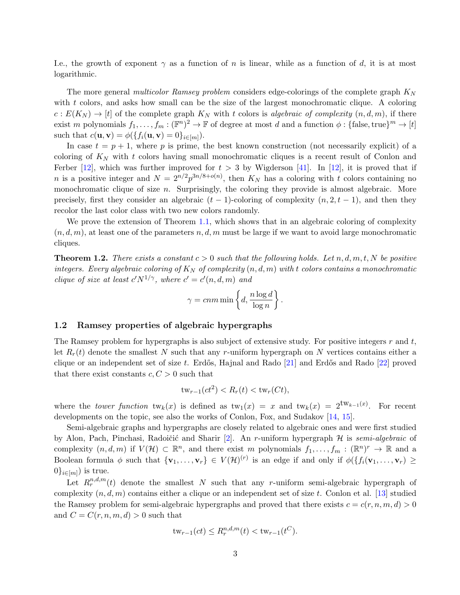I.e., the growth of exponent  $\gamma$  as a function of n is linear, while as a function of d, it is at most logarithmic.

The more general multicolor Ramsey problem considers edge-colorings of the complete graph  $K_N$ with t colors, and asks how small can be the size of the largest monochromatic clique. A coloring  $c: E(K_N) \to [t]$  of the complete graph  $K_N$  with t colors is algebraic of complexity  $(n, d, m)$ , if there exist m polynomials  $f_1, \ldots, f_m : (\mathbb{F}^n)^2 \to \mathbb{F}$  of degree at most d and a function  $\phi : \{\text{false}, \text{true}\}^m \to [t]$ such that  $c(\mathbf{u}, \mathbf{v}) = \phi(\lbrace f_i(\mathbf{u}, \mathbf{v}) = 0 \rbrace_{i \in [m]}).$ 

In case  $t = p + 1$ , where p is prime, the best known construction (not necessarily explicit) of a coloring of  $K_N$  with t colors having small monochromatic cliques is a recent result of Conlon and Ferber [\[12\]](#page-21-4), which was further improved for  $t > 3$  by Wigderson [\[41\]](#page-22-1). In [12], it is proved that if *n* is a positive integer and  $N = 2^{n/2} p^{3n/8 + o(n)}$ , then  $K_N$  has a coloring with t colors containing no monochromatic clique of size  $n$ . Surprisingly, the coloring they provide is almost algebraic. More precisely, first they consider an algebraic  $(t - 1)$ -coloring of complexity  $(n, 2, t - 1)$ , and then they recolor the last color class with two new colors randomly.

We prove the extension of Theorem [1.1,](#page-1-0) which shows that in an algebraic coloring of complexity  $(n, d, m)$ , at least one of the parameters n, d, m must be large if we want to avoid large monochromatic cliques.

<span id="page-2-0"></span>**Theorem 1.2.** There exists a constant  $c > 0$  such that the following holds. Let  $n, d, m, t, N$  be positive integers. Every algebraic coloring of  $K_N$  of complexity  $(n, d, m)$  with t colors contains a monochromatic clique of size at least  $c'N^{1/\gamma}$ , where  $c' = c'(n, d, m)$  and

$$
\gamma = cnm \min \left\{ d, \frac{n \log d}{\log n} \right\}.
$$

#### 1.2 Ramsey properties of algebraic hypergraphs

The Ramsey problem for hypergraphs is also subject of extensive study. For positive integers  $r$  and  $t$ , let  $R_r(t)$  denote the smallest N such that any r-uniform hypergraph on N vertices contains either a clique or an independent set of size t. Erdős, Hajnal and Rado  $[21]$  and Erdős and Rado  $[22]$  proved that there exist constants  $c, C > 0$  such that

$$
\operatorname{tw}_{r-1}(ct^2) < R_r(t) < \operatorname{tw}_r(Ct),
$$

where the *tower function*  $tw_k(x)$  is defined as  $tw_1(x) = x$  and  $tw_k(x) = 2^{tw_{k-1}(x)}$ . For recent developments on the topic, see also the works of Conlon, Fox, and Sudakov [\[14,](#page-21-7) [15\]](#page-21-8).

Semi-algebraic graphs and hypergraphs are closely related to algebraic ones and were first studied by Alon, Pach, Pinchasi, Radoičić and Sharir [\[2\]](#page-20-1). An r-uniform hypergraph  $H$  is semi-algebraic of complexity  $(n, d, m)$  if  $V(\mathcal{H}) \subset \mathbb{R}^n$ , and there exist m polynomials  $f_1, \ldots, f_m : (\mathbb{R}^n)^r \to \mathbb{R}$  and a Boolean formula  $\phi$  such that  $\{v_1,\ldots,v_r\} \in V(\mathcal{H})^{(r)}$  is an edge if and only if  $\phi(\{f_i(v_1,\ldots,v_r)\geq 0\})$  $0\}_{i\in[m]}$ ) is true.

Let  $R_r^{n,d,m}(t)$  denote the smallest N such that any r-uniform semi-algebraic hypergraph of complexity  $(n, d, m)$  contains either a clique or an independent set of size t. Conlon et al. [\[13\]](#page-21-9) studied the Ramsey problem for semi-algebraic hypergraphs and proved that there exists  $c = c(r, n, m, d) > 0$ and  $C = C(r, n, m, d) > 0$  such that

$$
tw_{r-1}(ct) \le R_r^{n,d,m}(t) < tw_{r-1}(t^C).
$$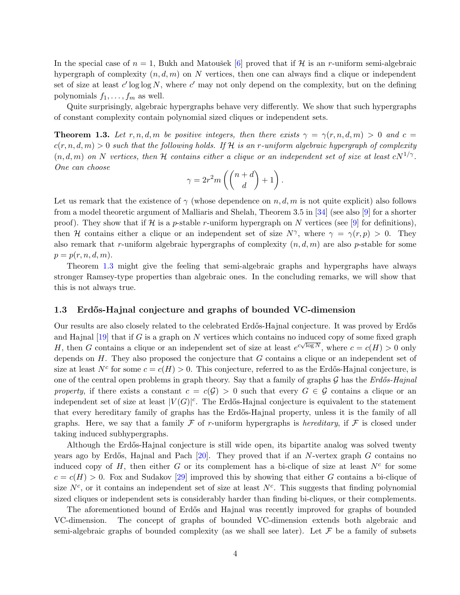In the special case of  $n = 1$ , Bukh and Matoušek [\[6\]](#page-20-2) proved that if H is an r-uniform semi-algebraic hypergraph of complexity  $(n, d, m)$  on N vertices, then one can always find a clique or independent set of size at least  $c'$  log log N, where  $c'$  may not only depend on the complexity, but on the defining polynomials  $f_1, \ldots, f_m$  as well.

Quite surprisingly, algebraic hypergraphs behave very differently. We show that such hypergraphs of constant complexity contain polynomial sized cliques or independent sets.

<span id="page-3-0"></span>**Theorem 1.3.** Let r, n, d, m be positive integers, then there exists  $\gamma = \gamma(r, n, d, m) > 0$  and  $c =$  $c(r, n, d, m) > 0$  such that the following holds. If H is an r-uniform algebraic hypergraph of complexity  $(n, d, m)$  on N vertices, then H contains either a clique or an independent set of size at least  $cN^{1/\gamma}$ . One can choose

$$
\gamma = 2r^2 m \left( \binom{n+d}{d} + 1 \right).
$$

Let us remark that the existence of  $\gamma$  (whose dependence on n, d, m is not quite explicit) also follows from a model theoretic argument of Malliaris and Shelah, Theorem 3.5 in [\[34\]](#page-22-2) (see also [\[9\]](#page-21-10) for a shorter proof). They show that if H is a p-stable r-uniform hypergraph on N vertices (see [\[9\]](#page-21-10) for definitions), then H contains either a clique or an independent set of size  $N^{\gamma}$ , where  $\gamma = \gamma(r, p) > 0$ . They also remark that r-uniform algebraic hypergraphs of complexity  $(n, d, m)$  are also p-stable for some  $p = p(r, n, d, m).$ 

Theorem [1.3](#page-3-0) might give the feeling that semi-algebraic graphs and hypergraphs have always stronger Ramsey-type properties than algebraic ones. In the concluding remarks, we will show that this is not always true.

#### 1.3 Erd˝os-Hajnal conjecture and graphs of bounded VC-dimension

Our results are also closely related to the celebrated Erdős-Hajnal conjecture. It was proved by Erdős and Hajnal [\[19\]](#page-21-11) that if G is a graph on N vertices which contains no induced copy of some fixed graph H, then G contains a clique or an independent set of size at least  $e^{c\sqrt{\log N}}$ , where  $c = c(H) > 0$  only depends on  $H$ . They also proposed the conjecture that  $G$  contains a clique or an independent set of size at least  $N^c$  for some  $c = c(H) > 0$ . This conjecture, referred to as the Erdős-Hajnal conjecture, is one of the central open problems in graph theory. Say that a family of graphs  $\mathcal G$  has the Erdős-Hajnal property, if there exists a constant  $c = c(G) > 0$  such that every  $G \in \mathcal{G}$  contains a clique or an independent set of size at least  $|V(G)|^c$ . The Erdős-Hajnal conjecture is equivalent to the statement that every hereditary family of graphs has the Erd˝os-Hajnal property, unless it is the family of all graphs. Here, we say that a family  $\mathcal F$  of r-uniform hypergraphs is *hereditary*, if  $\mathcal F$  is closed under taking induced subhypergraphs.

Although the Erd˝os-Hajnal conjecture is still wide open, its bipartite analog was solved twenty years ago by Erdős, Hajnal and Pach  $[20]$ . They proved that if an N-vertex graph G contains no induced copy of  $H$ , then either  $G$  or its complement has a bi-clique of size at least  $N^c$  for some  $c = c(H) > 0$ . Fox and Sudakov [\[29\]](#page-22-3) improved this by showing that either G contains a bi-clique of size  $N^c$ , or it contains an independent set of size at least  $N^c$ . This suggests that finding polynomial sized cliques or independent sets is considerably harder than finding bi-cliques, or their complements.

The aforementioned bound of Erdős and Hajnal was recently improved for graphs of bounded VC-dimension. The concept of graphs of bounded VC-dimension extends both algebraic and semi-algebraic graphs of bounded complexity (as we shall see later). Let  $\mathcal F$  be a family of subsets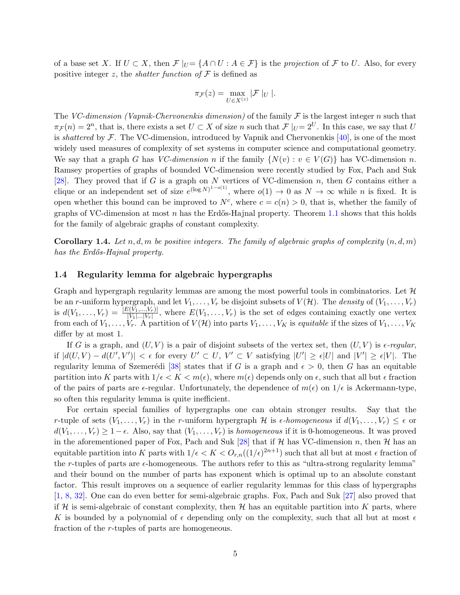of a base set X. If  $U \subset X$ , then  $\mathcal{F}|_{U} = \{A \cap U : A \in \mathcal{F}\}\$ is the projection of  $\mathcal{F}$  to U. Also, for every positive integer z, the *shatter function of*  $\mathcal F$  is defined as

$$
\pi_{\mathcal{F}}(z) = \max_{U \in X^{(z)}} |\mathcal{F}|_U \,|.
$$

The VC-dimension (Vapnik-Chervonenkis dimension) of the family  $\mathcal F$  is the largest integer n such that  $\pi_F(n) = 2^n$ , that is, there exists a set  $U \subset X$  of size n such that  $\mathcal{F} \mid_U = 2^U$ . In this case, we say that U is shattered by  $\mathcal F$ . The VC-dimension, introduced by Vapnik and Chervonenkis [\[40\]](#page-22-4), is one of the most widely used measures of complexity of set systems in computer science and computational geometry. We say that a graph G has VC-dimension n if the family  $\{N(v): v \in V(G)\}$  has VC-dimension n. Ramsey properties of graphs of bounded VC-dimension were recently studied by Fox, Pach and Suk [\[28\]](#page-22-5). They proved that if G is a graph on N vertices of VC-dimension n, then G contains either a clique or an independent set of size  $e^{(\log N)^{1-o(1)}}$ , where  $o(1) \to 0$  as  $N \to \infty$  while n is fixed. It is open whether this bound can be improved to  $N^c$ , where  $c = c(n) > 0$ , that is, whether the family of graphs of VC-dimension at most n has the Erdős-Hajnal property. Theorem [1.1](#page-1-0) shows that this holds for the family of algebraic graphs of constant complexity.

**Corollary 1.4.** Let n, d, m be positive integers. The family of algebraic graphs of complexity  $(n, d, m)$ has the Erdős-Hajnal property.

### 1.4 Regularity lemma for algebraic hypergraphs

Graph and hypergraph regularity lemmas are among the most powerful tools in combinatorics. Let  $\mathcal{H}$ be an r-uniform hypergraph, and let  $V_1, \ldots, V_r$  be disjoint subsets of  $V(\mathcal{H})$ . The *density* of  $(V_1, \ldots, V_r)$ is  $d(V_1,\ldots,V_r) = \frac{|E(V_1,\ldots,V_r)|}{|V_1|\ldots|V_r|}$ , where  $E(V_1,\ldots,V_r)$  is the set of edges containing exactly one vertex from each of  $V_1, \ldots, V_r$ . A partition of  $V(\mathcal{H})$  into parts  $V_1, \ldots, V_K$  is equitable if the sizes of  $V_1, \ldots, V_K$ differ by at most 1.

If G is a graph, and  $(U, V)$  is a pair of disjoint subsets of the vertex set, then  $(U, V)$  is  $\epsilon$ -regular, if  $|d(U,V) - d(U',V')| < \epsilon$  for every  $U' \subset U, V' \subset V$  satisfying  $|U'| \geq \epsilon |U|$  and  $|V'| \geq \epsilon |V|$ . The regularity lemma of Szemerédi [\[38\]](#page-22-6) states that if G is a graph and  $\epsilon > 0$ , then G has an equitable partition into K parts with  $1/\epsilon < K < m(\epsilon)$ , where  $m(\epsilon)$  depends only on  $\epsilon$ , such that all but  $\epsilon$  fraction of the pairs of parts are  $\epsilon$ -regular. Unfortunately, the dependence of  $m(\epsilon)$  on  $1/\epsilon$  is Ackermann-type, so often this regularity lemma is quite inefficient.

For certain special families of hypergraphs one can obtain stronger results. Say that the r-tuple of sets  $(V_1,\ldots,V_r)$  in the r-uniform hypergraph H is  $\epsilon$ -homogeneous if  $d(V_1,\ldots,V_r) \leq \epsilon$  or  $d(V_1,\ldots,V_r) \geq 1-\epsilon$ . Also, say that  $(V_1,\ldots,V_r)$  is *homogeneous* if it is 0-homogeneous. It was proved in the aforementioned paper of Fox, Pach and Suk [\[28\]](#page-22-5) that if  $H$  has VC-dimension n, then  $H$  has an equitable partition into K parts with  $1/\epsilon < K < O_{r,n}((1/\epsilon)^{2n+1})$  such that all but at most  $\epsilon$  fraction of the r-tuples of parts are  $\epsilon$ -homogeneous. The authors refer to this as "ultra-strong regularity lemma" and their bound on the number of parts has exponent which is optimal up to an absolute constant factor. This result improves on a sequence of earlier regularity lemmas for this class of hypergraphs [\[1,](#page-20-3) [8,](#page-21-13) [32\]](#page-22-7). One can do even better for semi-algebraic graphs. Fox, Pach and Suk [\[27\]](#page-22-8) also proved that if H is semi-algebraic of constant complexity, then H has an equitable partition into K parts, where K is bounded by a polynomial of  $\epsilon$  depending only on the complexity, such that all but at most  $\epsilon$ fraction of the r-tuples of parts are homogeneous.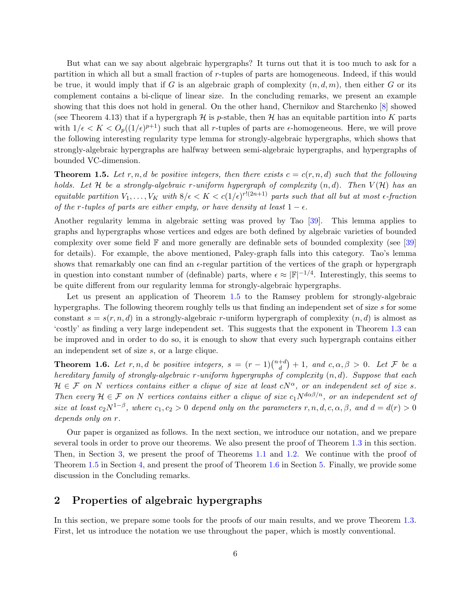But what can we say about algebraic hypergraphs? It turns out that it is too much to ask for a partition in which all but a small fraction of r-tuples of parts are homogeneous. Indeed, if this would be true, it would imply that if G is an algebraic graph of complexity  $(n, d, m)$ , then either G or its complement contains a bi-clique of linear size. In the concluding remarks, we present an example showing that this does not hold in general. On the other hand, Chernikov and Starchenko [\[8\]](#page-21-13) showed (see Theorem 4.13) that if a hypergraph  $\mathcal H$  is p-stable, then  $\mathcal H$  has an equitable partition into K parts with  $1/\epsilon < K < O_p((1/\epsilon)^{p+1})$  such that all r-tuples of parts are  $\epsilon$ -homogeneous. Here, we will prove the following interesting regularity type lemma for strongly-algebraic hypergraphs, which shows that strongly-algebraic hypergraphs are halfway between semi-algebraic hypergraphs, and hypergraphs of bounded VC-dimension.

<span id="page-5-0"></span>**Theorem 1.5.** Let r, n, d be positive integers, then there exists  $c = c(r, n, d)$  such that the following holds. Let H be a strongly-algebraic r-uniform hypergraph of complexity  $(n, d)$ . Then  $V(H)$  has an equitable partition  $V_1, \ldots, V_K$  with  $8/\epsilon < K < c(1/\epsilon)^{r!(2n+1)}$  parts such that all but at most  $\epsilon$ -fraction of the r-tuples of parts are either empty, or have density at least  $1 - \epsilon$ .

Another regularity lemma in algebraic setting was proved by Tao [\[39\]](#page-22-9). This lemma applies to graphs and hypergraphs whose vertices and edges are both defined by algebraic varieties of bounded complexity over some field  $\mathbb F$  and more generally are definable sets of bounded complexity (see [\[39\]](#page-22-9) for details). For example, the above mentioned, Paley-graph falls into this category. Tao's lemma shows that remarkably one can find an  $\epsilon$ -regular partition of the vertices of the graph or hypergraph in question into constant number of (definable) parts, where  $\epsilon \approx |\mathbb{F}|^{-1/4}$ . Interestingly, this seems to be quite different from our regularity lemma for strongly-algebraic hypergraphs.

Let us present an application of Theorem [1.5](#page-5-0) to the Ramsey problem for strongly-algebraic hypergraphs. The following theorem roughly tells us that finding an independent set of size s for some constant  $s = s(r, n, d)$  in a strongly-algebraic r-uniform hypergraph of complexity  $(n, d)$  is almost as 'costly' as finding a very large independent set. This suggests that the exponent in Theorem [1.3](#page-3-0) can be improved and in order to do so, it is enough to show that every such hypergraph contains either an independent set of size s, or a large clique.

<span id="page-5-1"></span>**Theorem 1.6.** Let r, n, d be positive integers,  $s = (r-1)\binom{n+d}{d}$  $\binom{+d}{d}+1$ , and  $c, \alpha, \beta > 0$ . Let F be a hereditary family of strongly-algebraic r-uniform hypergraphs of complexity  $(n, d)$ . Suppose that each  $\mathcal{H} \in \mathcal{F}$  on N vertices contains either a clique of size at least  $cN^{\alpha}$ , or an independent set of size s. Then every  $\mathcal{H} \in \mathcal{F}$  on N vertices contains either a clique of size  $c_1 N^{d\alpha\beta/n}$ , or an independent set of size at least  $c_2N^{1-\beta}$ , where  $c_1, c_2 > 0$  depend only on the parameters  $r, n, d, c, \alpha, \beta$ , and  $d = d(r) > 0$ depends only on r.

Our paper is organized as follows. In the next section, we introduce our notation, and we prepare several tools in order to prove our theorems. We also present the proof of Theorem [1.3](#page-3-0) in this section. Then, in Section [3,](#page-12-0) we present the proof of Theorems [1.1](#page-1-0) and [1.2.](#page-2-0) We continue with the proof of Theorem [1.5](#page-5-0) in Section [4,](#page-15-0) and present the proof of Theorem [1.6](#page-5-1) in Section [5.](#page-18-0) Finally, we provide some discussion in the Concluding remarks.

# 2 Properties of algebraic hypergraphs

In this section, we prepare some tools for the proofs of our main results, and we prove Theorem [1.3.](#page-3-0) First, let us introduce the notation we use throughout the paper, which is mostly conventional.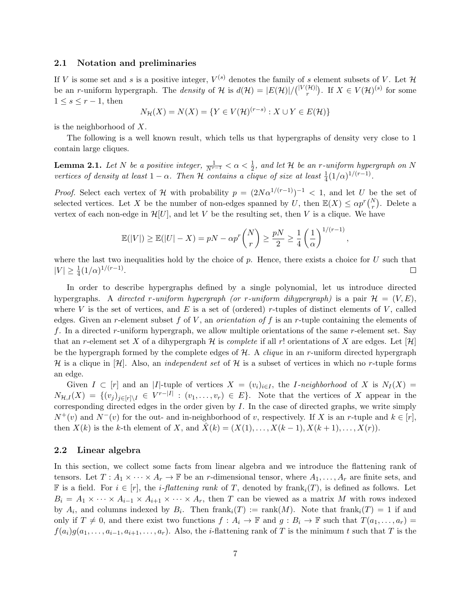#### 2.1 Notation and preliminaries

If V is some set and s is a positive integer,  $V^{(s)}$  denotes the family of s element subsets of V. Let  $\mathcal H$ be an *r*-uniform hypergraph. The *density* of H is  $d(\mathcal{H}) = |E(\mathcal{H})|/ { |V(\mathcal{H})| \choose r}$  $\binom{H}{r}$ . If  $X \in V(H)^{(s)}$  for some  $1 \leq s \leq r-1$ , then

$$
N_{\mathcal{H}}(X) = N(X) = \{ Y \in V(\mathcal{H})^{(r-s)} : X \cup Y \in E(\mathcal{H}) \}
$$

is the neighborhood of X.

The following is a well known result, which tells us that hypergraphs of density very close to 1 contain large cliques.

<span id="page-6-0"></span>**Lemma 2.1.** Let N be a positive integer,  $\frac{1}{N^{r-1}} < \alpha < \frac{1}{2}$ , and let H be an r-uniform hypergraph on N vertices of density at least  $1 - \alpha$ . Then H contains a clique of size at least  $\frac{1}{4}(1/\alpha)^{1/(r-1)}$ .

*Proof.* Select each vertex of H with probability  $p = (2N\alpha^{1/(r-1)})^{-1} < 1$ , and let U be the set of selected vertices. Let X be the number of non-edges spanned by U, then  $\mathbb{E}(X) \le \alpha p^r {N \choose r}$ . Delete a vertex of each non-edge in  $\mathcal{H}[U]$ , and let V be the resulting set, then V is a clique. We have

$$
\mathbb{E}(|V|) \ge \mathbb{E}(|U| - X) = pN - \alpha p^r \binom{N}{r} \ge \frac{pN}{2} \ge \frac{1}{4} \left(\frac{1}{\alpha}\right)^{1/(r-1)},
$$

where the last two inequalities hold by the choice of p. Hence, there exists a choice for  $U$  such that  $|V| \geq \frac{1}{4} (1/\alpha)^{1/(r-1)}.$  $\Box$ 

In order to describe hypergraphs defined by a single polynomial, let us introduce directed hypergraphs. A directed r-uniform hypergraph (or r-uniform dihypergraph) is a pair  $\mathcal{H} = (V, E)$ , where V is the set of vertices, and E is a set of (ordered) r-tuples of distinct elements of V, called edges. Given an r-element subset f of V, an *orientation of* f is an r-tuple containing the elements of f. In a directed r-uniform hypergraph, we allow multiple orientations of the same r-element set. Say that an r-element set X of a dihypergraph H is *complete* if all r! orientations of X are edges. Let  $[\mathcal{H}]$ be the hypergraph formed by the complete edges of  $H$ . A *clique* in an r-uniform directed hypergraph H is a clique in  $[H]$ . Also, an *independent set* of H is a subset of vertices in which no r-tuple forms an edge.

Given  $I \subset [r]$  and an |I|-tuple of vertices  $X = (v_i)_{i \in I}$ , the *I-neighborhood* of X is  $N_I(X) =$  $N_{\mathcal{H},I}(X) = \{(v_j)_{j\in[r]\setminus I} \in V^{r-|I|}: (v_1,\ldots,v_r) \in E\}.$  Note that the vertices of X appear in the corresponding directed edges in the order given by  $I$ . In the case of directed graphs, we write simply  $N^+(v)$  and  $N^-(v)$  for the out- and in-neighborhood of v, respectively. If X is an r-tuple and  $k \in [r]$ , then  $X(k)$  is the k-th element of X, and  $\ddot{X}(k) = (X(1), \ldots, X(k-1), X(k+1), \ldots, X(r)).$ 

#### 2.2 Linear algebra

In this section, we collect some facts from linear algebra and we introduce the flattening rank of tensors. Let  $T: A_1 \times \cdots \times A_r \to \mathbb{F}$  be an r-dimensional tensor, where  $A_1, \ldots, A_r$  are finite sets, and **F** is a field. For  $i \in [r]$ , the *i*-flattening rank of T, denoted by frank<sub>i</sub>(T), is defined as follows. Let  $B_i = A_1 \times \cdots \times A_{i-1} \times A_{i+1} \times \cdots \times A_r$ , then T can be viewed as a matrix M with rows indexed by  $A_i$ , and columns indexed by  $B_i$ . Then  ${\rm frank}_i(T) := {\rm rank}(M)$ . Note that  ${\rm frank}_i(T) = 1$  if and only if  $T \neq 0$ , and there exist two functions  $f : A_i \to \mathbb{F}$  and  $g : B_i \to \mathbb{F}$  such that  $T(a_1, \ldots, a_r) =$  $f(a_i)g(a_1,\ldots,a_{i-1},a_{i+1},\ldots,a_r)$ . Also, the *i*-flattening rank of T is the minimum t such that T is the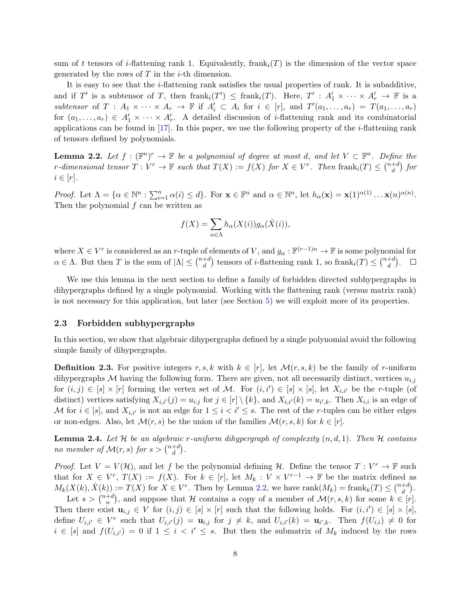sum of t tensors of i-flattening rank 1. Equivalently, frank<sub>i</sub> $(T)$  is the dimension of the vector space generated by the rows of  $T$  in the *i*-th dimension.

It is easy to see that the i-flattening rank satisfies the usual properties of rank. It is subadditive, and if T' is a subtensor of T, then  $\text{frank}_i(T') \leq \text{frank}_i(T)$ . Here,  $T' : A'_1 \times \cdots \times A'_r \to \mathbb{F}$  is a subtensor of  $T : A_1 \times \cdots \times A_r \to \mathbb{F}$  if  $A'_i \subset A_i$  for  $i \in [r]$ , and  $T'(a_1, \ldots, a_r) = T(a_1, \ldots, a_r)$ for  $(a_1,\ldots,a_r) \in A'_1 \times \cdots \times A'_r$ . A detailed discussion of *i*-flattening rank and its combinatorial applications can be found in  $[17]$ . In this paper, we use the following property of the *i*-flattening rank of tensors defined by polynomials.

<span id="page-7-0"></span>**Lemma 2.2.** Let  $f : (\mathbb{F}^n)^r \to \mathbb{F}$  be a polynomial of degree at most d, and let  $V \subset \mathbb{F}^n$ . Define the r-dimensional tensor  $T: V^r \to \mathbb{F}$  such that  $T(X) := f(X)$  for  $X \in V^r$ . Then  $\text{frank}_i(T) \leq {n+d \choose d}$  $\binom{+d}{d}$  for  $i \in [r]$ .

Proof. Let  $\Lambda = {\alpha \in \mathbb{N}^n : \sum_{i=1}^n \alpha(i) \leq d}$ . For  $\mathbf{x} \in \mathbb{F}^n$  and  $\alpha \in \mathbb{N}^n$ , let  $h_\alpha(\mathbf{x}) = \mathbf{x}(1)^{\alpha(1)} \dots \mathbf{x}(n)^{\alpha(n)}$ . Then the polynomial  $f$  can be written as

$$
f(X) = \sum_{\alpha \in \Lambda} h_{\alpha}(X(i))g_{\alpha}(\hat{X}(i)),
$$

where  $X \in V^r$  is considered as an r-tuple of elements of V, and  $g_\alpha: \mathbb{F}^{(r-1)n} \to \mathbb{F}$  is some polynomial for  $\alpha \in \Lambda$ . But then T is the sum of  $|\Lambda| \leq {n+d \choose d}$ <sup>+d</sup>) tensors of *i*-flattening rank 1, so frank<sub>i</sub>(T)  $\leq \binom{n+d}{d}$  $\binom{+d}{d}$ .  $\Box$ 

We use this lemma in the next section to define a family of forbidden directed subhypergraphs in dihypergraphs defined by a single polynomial. Working with the flattening rank (versus matrix rank) is not necessary for this application, but later (see Section [5\)](#page-18-0) we will exploit more of its properties.

#### 2.3 Forbidden subhypergraphs

In this section, we show that algebraic dihypergraphs defined by a single polynomial avoid the following simple family of dihypergraphs.

**Definition 2.3.** For positive integers r, s, k with  $k \in [r]$ , let  $\mathcal{M}(r, s, k)$  be the family of r-uniform dihypergraphs M having the following form. There are given, not all necessarily distinct, vertices  $u_{i,j}$ for  $(i, j) \in [s] \times [r]$  forming the vertex set of M. For  $(i, i') \in [s] \times [s]$ , let  $X_{i,i'}$  be the r-tuple (of distinct) vertices satisfying  $X_{i,i'}(j) = u_{i,j}$  for  $j \in [r] \setminus \{k\}$ , and  $X_{i,i'}(k) = u_{i',k}$ . Then  $X_{i,i}$  is an edge of M for  $i \in [s]$ , and  $X_{i,i'}$  is not an edge for  $1 \leq i < i' \leq s$ . The rest of the r-tuples can be either edges or non-edges. Also, let  $\mathcal{M}(r, s)$  be the union of the families  $\mathcal{M}(r, s, k)$  for  $k \in [r]$ .

<span id="page-7-1"></span>**Lemma 2.4.** Let H be an algebraic r-uniform dihypergraph of complexity  $(n, d, 1)$ . Then H contains no member of  $\mathcal{M}(r,s)$  for  $s > \binom{n+d}{d}$  $\binom{+d}{d}$ .

*Proof.* Let  $V = V(\mathcal{H})$ , and let f be the polynomial defining  $\mathcal{H}$ . Define the tensor  $T : V^r \to \mathbb{F}$  such that for  $X \in V^r$ ,  $T(X) := f(X)$ . For  $k \in [r]$ , let  $M_k : V \times V^{r-1} \to \mathbb{F}$  be the matrix defined as  $M_k(X(k), \hat{X}(k)) := T(X)$  for  $X \in V^r$ . Then by Lemma [2.2,](#page-7-0) we have  $\text{rank}(M_k) = \text{frank}_k(T) \leq {n+d \choose d}$  $\binom{+d}{d}$ .

Let  $s > \binom{n+d}{n}$ <sup>+d</sup>), and suppose that H contains a copy of a member of  $\mathcal{M}(r, s, k)$  for some  $k \in [r]$ . Then there exist  $\mathbf{u}_{i,j} \in V$  for  $(i,j) \in [s] \times [r]$  such that the following holds. For  $(i,i') \in [s] \times [s]$ , define  $U_{i,i'} \in V^r$  such that  $U_{i,i'}(j) = \mathbf{u}_{i,j}$  for  $j \neq k$ , and  $U_{i,i'}(k) = \mathbf{u}_{i',k}$ . Then  $f(U_{i,i}) \neq 0$  for  $i \in [s]$  and  $f(U_{i,i'}) = 0$  if  $1 \leq i < i' \leq s$ . But then the submatrix of  $M_k$  induced by the rows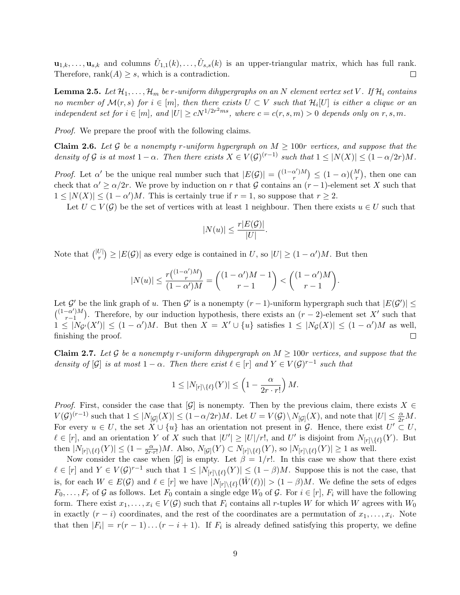$\mathbf{u}_{1,k},\ldots,\mathbf{u}_{s,k}$  and columns  $\hat{U}_{1,1}(k),\ldots,\hat{U}_{s,s}(k)$  is an upper-triangular matrix, which has full rank. Therefore, rank $(A) \geq s$ , which is a contradiction.  $\Box$ 

<span id="page-8-1"></span>**Lemma 2.5.** Let  $\mathcal{H}_1, \ldots, \mathcal{H}_m$  be r-uniform dihypergraphs on an N element vertex set V. If  $\mathcal{H}_i$  contains no member of  $\mathcal{M}(r,s)$  for  $i \in [m]$ , then there exists  $U \subset V$  such that  $\mathcal{H}_i[U]$  is either a clique or an independent set for  $i \in [m]$ , and  $|U| \ge cN^{1/2r^2ms}$ , where  $c = c(r, s, m) > 0$  depends only on  $r, s, m$ .

<span id="page-8-2"></span>Proof. We prepare the proof with the following claims.

**Claim 2.6.** Let G be a nonempty r-uniform hypergraph on  $M \geq 100r$  vertices, and suppose that the density of G is at most  $1 - \alpha$ . Then there exists  $X \in V(\mathcal{G})^{(r-1)}$  such that  $1 \leq |N(X)| \leq (1 - \alpha/2r)M$ .

*Proof.* Let  $\alpha'$  be the unique real number such that  $|E(\mathcal{G})| = {(\alpha')M \choose r}$  $\binom{\alpha'}{r}$   $\leq (1-\alpha)\binom{M}{r}$ , then one can check that  $\alpha' \geq \alpha/2r$ . We prove by induction on r that G contains an  $(r-1)$ -element set X such that  $1 \leq |N(X)| \leq (1 - \alpha')M$ . This is certainly true if  $r = 1$ , so suppose that  $r \geq 2$ .

Let  $U \subset V(G)$  be the set of vertices with at least 1 neighbour. Then there exists  $u \in U$  such that

.

$$
|N(u)| \le \frac{r|E(\mathcal{G})|}{|U|}
$$

Note that  $\binom{|U|}{r}$  $\mathcal{L}^{[U]}_{r}$   $\geq$   $|E(\mathcal{G})|$  as every edge is contained in U, so  $|U| \geq (1 - \alpha')M$ . But then

$$
|N(u)|\leq \frac{r\binom{(1-\alpha')M}{r}}{(1-\alpha')M}=\binom{(1-\alpha')M-1}{r-1}<\binom{(1-\alpha')M}{r-1}.
$$

Let G' be the link graph of u. Then G' is a nonempty  $(r-1)$ -uniform hypergraph such that  $|E(G')| \le$  $\binom{(1-\alpha')M}{n-1}$  $\binom{-\alpha'}{r-1}$ . Therefore, by our induction hypothesis, there exists an  $(r-2)$ -element set X' such that  $1 \leq |N_{\mathcal{G}'}(X')| \leq (1-\alpha')M$ . But then  $X = X' \cup \{u\}$  satisfies  $1 \leq |N_{\mathcal{G}}(X)| \leq (1-\alpha')M$  as well, finishing the proof.  $\Box$ 

<span id="page-8-0"></span>**Claim 2.7.** Let G be a nonempty r-uniform dihypergraph on  $M \geq 100r$  vertices, and suppose that the density of  $[\mathcal{G}]$  is at most  $1 - \alpha$ . Then there exist  $\ell \in [r]$  and  $Y \in V(\mathcal{G})^{r-1}$  such that

$$
1\leq |N_{[r]\backslash \{\ell\}}(Y)|\leq \left(1-\frac{\alpha}{2r\cdot r!}\right)M.
$$

*Proof.* First, consider the case that  $[\mathcal{G}]$  is nonempty. Then by the previous claim, there exists  $X \in \mathcal{G}$  $V(\mathcal{G})^{(r-1)}$  such that  $1 \leq |N_{[\mathcal{G}]}(X)| \leq (1-\alpha/2r)M$ . Let  $U = V(\mathcal{G}) \setminus N_{[\mathcal{G}]}(X)$ , and note that  $|U| \leq \frac{\alpha}{2r}M$ . For every  $u \in U$ , the set  $\overline{X} \cup \{u\}$  has an orientation not present in  $\mathcal{G}$ . Hence, there exist  $U' \subset U$ ,  $\ell \in [r]$ , and an orientation Y of X such that  $|U'| \geq |U|/r!$ , and U' is disjoint from  $N_{[r] \setminus \{\ell\}}(Y)$ . But then  $|N_{[r]\setminus\{\ell\}}(Y)| \leq (1 - \frac{\alpha}{2r\cdot r!})M$ . Also,  $N_{[\mathcal{G}]}(Y) \subset N_{[r]\setminus\{\ell\}}(Y)$ , so  $|N_{[r]\setminus\{\ell\}}(Y)| \geq 1$  as well.

Now consider the case when  $[\mathcal{G}]$  is empty. Let  $\beta = 1/r!$ . In this case we show that there exist  $\ell \in [r]$  and  $Y \in V(\mathcal{G})^{r-1}$  such that  $1 \leq |N_{[r] \setminus \{\ell\}}(Y)| \leq (1-\beta)M$ . Suppose this is not the case, that is, for each  $W \in E(\mathcal{G})$  and  $\ell \in [r]$  we have  $|N_{[r] \setminus \{\ell\}}(\hat{W}(\ell))| > (1 - \beta)M$ . We define the sets of edges  $F_0, \ldots, F_r$  of G as follows. Let  $F_0$  contain a single edge  $W_0$  of G. For  $i \in [r]$ ,  $F_i$  will have the following form. There exist  $x_1, \ldots, x_i \in V(G)$  such that  $F_i$  contains all r-tuples W for which W agrees with  $W_0$ in exactly  $(r - i)$  coordinates, and the rest of the coordinates are a permutation of  $x_1, \ldots, x_i$ . Note that then  $|F_i| = r(r-1)\dots(r-i+1)$ . If  $F_i$  is already defined satisfying this property, we define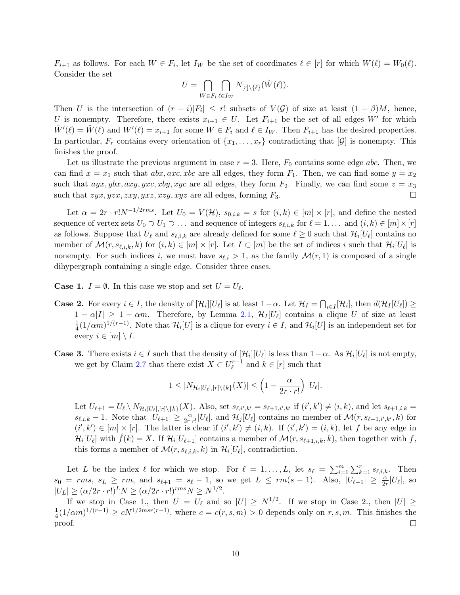$F_{i+1}$  as follows. For each  $W \in F_i$ , let  $I_W$  be the set of coordinates  $\ell \in [r]$  for which  $W(\ell) = W_0(\ell)$ . Consider the set

$$
U = \bigcap_{W \in F_i} \bigcap_{\ell \in I_W} N_{[r] \setminus \{\ell\}}(\hat{W}(\ell)).
$$

Then U is the intersection of  $(r - i)|F_i| \leq r!$  subsets of  $V(\mathcal{G})$  of size at least  $(1 - \beta)M$ , hence, U is nonempty. Therefore, there exists  $x_{i+1} \in U$ . Let  $F_{i+1}$  be the set of all edges W' for which  $\hat{W}'(\ell) = \hat{W}(\ell)$  and  $W'(\ell) = x_{i+1}$  for some  $W \in F_i$  and  $\ell \in I_W$ . Then  $F_{i+1}$  has the desired properties. In particular,  $F_r$  contains every orientation of  $\{x_1, \ldots, x_r\}$  contradicting that  $[\mathcal{G}]$  is nonempty. This finishes the proof.

Let us illustrate the previous argument in case  $r = 3$ . Here,  $F_0$  contains some edge abc. Then, we can find  $x = x_1$  such that  $abx, axc, xbc$  are all edges, they form  $F_1$ . Then, we can find some  $y = x_2$ such that  $ayx, ybx, axy, yxc, xby, xyc$  are all edges, they form  $F_2$ . Finally, we can find some  $z = x_3$ such that  $zyx, yzx, zxy, yxz, xzy, xyz$  are all edges, forming  $F_3$ .  $\Box$ 

Let  $\alpha = 2r \cdot r! N^{-1/2rms}$ . Let  $U_0 = V(H)$ ,  $s_{0,i,k} = s$  for  $(i,k) \in [m] \times [r]$ , and define the nested sequence of vertex sets  $U_0 \supset U_1 \supset \ldots$  and sequence of integers  $s_{\ell,i,k}$  for  $\ell = 1, \ldots$  and  $(i, k) \in [m] \times [r]$ as follows. Suppose that  $U_\ell$  and  $s_{\ell,i,k}$  are already defined for some  $\ell \geq 0$  such that  $\mathcal{H}_i[U_\ell]$  contains no member of  $\mathcal{M}(r, s_{\ell,i,k}, k)$  for  $(i, k) \in [m] \times [r]$ . Let  $I \subset [m]$  be the set of indices i such that  $\mathcal{H}_i[U_\ell]$  is nonempty. For such indices i, we must have  $s_{\ell,i} > 1$ , as the family  $\mathcal{M}(r, 1)$  is composed of a single dihypergraph containing a single edge. Consider three cases.

**Case 1.**  $I = \emptyset$ . In this case we stop and set  $U = U_{\ell}$ .

- **Case 2.** For every  $i \in I$ , the density of  $[\mathcal{H}_i][U_\ell]$  is at least  $1-\alpha$ . Let  $\mathcal{H}_I = \bigcap_{i \in I} [\mathcal{H}_i]$ , then  $d(\mathcal{H}_I[U_\ell]) \ge$  $1 - \alpha |I| \geq 1 - \alpha m$ . Therefore, by Lemma [2.1,](#page-6-0)  $\mathcal{H}_I[U_\ell]$  contains a clique U of size at least 1  $\frac{1}{4}(1/\alpha m)^{1/(r-1)}$ . Note that  $\mathcal{H}_i[U]$  is a clique for every  $i \in I$ , and  $\mathcal{H}_i[U]$  is an independent set for every  $i \in [m] \setminus I$ .
- **Case 3.** There exists  $i \in I$  such that the density of  $[\mathcal{H}_i][U_\ell]$  is less than  $1-\alpha$ . As  $\mathcal{H}_i[U_\ell]$  is not empty, we get by Claim [2.7](#page-8-0) that there exist  $X \subset U_{\ell}^{r-1}$  $\ell^{r-1}$  and  $k \in [r]$  such that

$$
1 \leq |N_{\mathcal{H}_i[U_\ell],[r]\backslash\{k\}}(X)| \leq \left(1 - \frac{\alpha}{2r \cdot r!}\right)|U_\ell|.
$$

Let  $U_{\ell+1} = U_{\ell} \setminus N_{\mathcal{H}_i[U_{\ell}], [r] \setminus \{k\}}(X)$ . Also, set  $s_{\ell, i', k'} = s_{\ell+1, i', k'}$  if  $(i', k') \neq (i, k)$ , and let  $s_{\ell+1, i,k} =$  $s_{\ell,i,k} - 1$ . Note that  $|\widetilde{U_{\ell+1}}| \geq \frac{\alpha}{2r \cdot r!} |U_{\ell}|$ , and  $\mathcal{H}_j[U_{\ell}]$  contains no member of  $\mathcal{M}(r, s_{\ell+1,i',k'}, k)$  for  $(i',k') \in [m] \times [r]$ . The latter is clear if  $(i',k') \neq (i,k)$ . If  $(i',k') = (i,k)$ , let f be any edge in  $\mathcal{H}_i[U_\ell]$  with  $\hat{f}(k) = X$ . If  $\mathcal{H}_i[U_{\ell+1}]$  contains a member of  $\mathcal{M}(r, s_{\ell+1,i,k}, k)$ , then together with f, this forms a member of  $\mathcal{M}(r, s_{\ell,i,k}, k)$  in  $\mathcal{H}_i[U_\ell]$ , contradiction.

Let L be the index  $\ell$  for which we stop. For  $\ell = 1, \ldots, L$ , let  $s_{\ell} = \sum_{i=1}^{m} \sum_{k=1}^{r} s_{\ell, i, k}$ . Then  $s_0 = rms, s_L \geq rm, \text{ and } s_{\ell+1} = s_{\ell} - 1, \text{ so we get } L \leq rm(s-1).$  Also,  $|U_{\ell+1}| \geq \frac{\alpha}{2r}|U_{\ell}|, \text{ so}$  $|U_L| \geq (\alpha/2r \cdot r!)^L N \geq (\alpha/2r \cdot r!)^{rms} N \geq N^{1/2}.$ 

If we stop in Case 1., then  $U = U_{\ell}$  and so  $|U| \ge N^{1/2}$ . If we stop in Case 2., then  $|U| \ge N^{1/2}$  $\frac{1}{4}(1/\alpha m)^{1/(r-1)} \ge cN^{1/2msr(r-1)}$ , where  $c = c(r, s, m) > 0$  depends only on  $r, s, m$ . This finishes the 1 proof.  $\Box$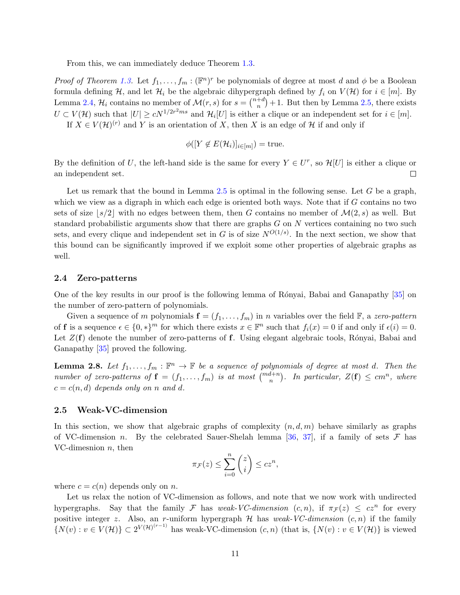From this, we can immediately deduce Theorem [1.3.](#page-3-0)

*Proof of Theorem [1.3.](#page-3-0)* Let  $f_1, \ldots, f_m : (\mathbb{F}^n)^r$  be polynomials of degree at most d and  $\phi$  be a Boolean formula defining H, and let  $\mathcal{H}_i$  be the algebraic dihypergraph defined by  $f_i$  on  $V(\mathcal{H})$  for  $i \in [m]$ . By Lemma [2.4,](#page-7-1)  $\mathcal{H}_i$  contains no member of  $\mathcal{M}(r,s)$  for  $s = \binom{n+d}{n}$  $\binom{+d}{n}+1$ . But then by Lemma [2.5,](#page-8-1) there exists  $U \subset V(\mathcal{H})$  such that  $|U| \ge cN^{1/2r^2ms}$  and  $\mathcal{H}_i[U]$  is either a clique or an independent set for  $i \in [m]$ . If  $X \in V(H)^{(r)}$  and Y is an orientation of X, then X is an edge of H if and only if

$$
\phi([Y \notin E(\mathcal{H}_i)]_{i \in [m]}) = \text{true}.
$$

By the definition of U, the left-hand side is the same for every  $Y \in U^r$ , so  $\mathcal{H}[U]$  is either a clique or an independent set.  $\Box$ 

Let us remark that the bound in Lemma [2.5](#page-8-1) is optimal in the following sense. Let  $G$  be a graph, which we view as a digraph in which each edge is oriented both ways. Note that if G contains no two sets of size  $|s/2|$  with no edges between them, then G contains no member of  $\mathcal{M}(2, s)$  as well. But standard probabilistic arguments show that there are graphs  $G$  on  $N$  vertices containing no two such sets, and every clique and independent set in G is of size  $N^{O(1/s)}$ . In the next section, we show that this bound can be significantly improved if we exploit some other properties of algebraic graphs as well.

### 2.4 Zero-patterns

One of the key results in our proof is the following lemma of Rónyai, Babai and Ganapathy [\[35\]](#page-22-0) on the number of zero-pattern of polynomials.

Given a sequence of m polynomials  $f = (f_1, \ldots, f_m)$  in n variables over the field  $\mathbb{F}$ , a zero-pattern of **f** is a sequence  $\epsilon \in \{0, *\}^m$  for which there exists  $x \in \mathbb{F}^n$  such that  $f_i(x) = 0$  if and only if  $\epsilon(i) = 0$ . Let  $Z(\mathbf{f})$  denote the number of zero-patterns of f. Using elegant algebraic tools, Rónyai, Babai and Ganapathy [\[35\]](#page-22-0) proved the following.

<span id="page-10-0"></span>**Lemma 2.8.** Let  $f_1, \ldots, f_m : \mathbb{F}^n \to \mathbb{F}$  be a sequence of polynomials of degree at most d. Then the number of zero-patterns of  $f = (f_1, \ldots, f_m)$  is at most  $\binom{m d + n}{n}$ . In particular,  $Z(f) \leq cm^n$ , where  $c = c(n, d)$  depends only on n and d.

#### 2.5 Weak-VC-dimension

In this section, we show that algebraic graphs of complexity  $(n, d, m)$  behave similarly as graphs of VC-dimension n. By the celebrated Sauer-Shelah lemma [\[36,](#page-22-10) [37\]](#page-22-11), if a family of sets  $\mathcal F$  has VC-dimesnion  $n$ , then

$$
\pi_{\mathcal{F}}(z) \le \sum_{i=0}^{n} \binom{z}{i} \le cz^n,
$$

where  $c = c(n)$  depends only on n.

Let us relax the notion of VC-dimension as follows, and note that we now work with undirected hypergraphs. Say that the family F has weak-VC-dimension  $(c, n)$ , if  $\pi_{\mathcal{F}}(z) \leq cz^n$  for every positive integer z. Also, an r-uniform hypergraph  $H$  has weak-VC-dimension  $(c, n)$  if the family  $\{N(v): v \in V(\mathcal{H})\} \subset 2^{V(\mathcal{H})^{(r-1)}}$  has weak-VC-dimension  $(c, n)$  (that is,  $\{N(v): v \in V(\mathcal{H})\}$  is viewed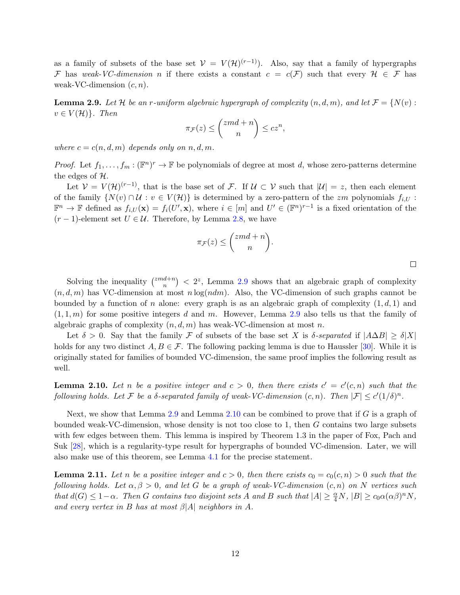as a family of subsets of the base set  $V = V(H)^{(r-1)}$ . Also, say that a family of hypergraphs F has weak-VC-dimension n if there exists a constant  $c = c(F)$  such that every  $H \in \mathcal{F}$  has weak-VC-dimension  $(c, n)$ .

<span id="page-11-0"></span>**Lemma 2.9.** Let H be an r-uniform algebraic hypergraph of complexity  $(n, d, m)$ , and let  $\mathcal{F} = \{N(v) :$  $v \in V(\mathcal{H})\}$ . Then

$$
\pi_{\mathcal{F}}(z) \le \binom{zmd+n}{n} \le cz^n,
$$

where  $c = c(n, d, m)$  depends only on n, d, m.

*Proof.* Let  $f_1, \ldots, f_m : (\mathbb{F}^n)^r \to \mathbb{F}$  be polynomials of degree at most d, whose zero-patterns determine the edges of  $H$ .

Let  $V = V(H)^{(r-1)}$ , that is the base set of F. If  $U \subset V$  such that  $|U| = z$ , then each element of the family  $\{N(v) \cap U : v \in V(\mathcal{H})\}$  is determined by a zero-pattern of the zm polynomials  $f_{i,U}$ :  $\mathbb{F}^n \to \mathbb{F}$  defined as  $f_{i,U}(\mathbf{x}) = f_i(U', \mathbf{x})$ , where  $i \in [m]$  and  $U' \in (\mathbb{F}^n)^{r-1}$  is a fixed orientation of the  $(r-1)$ -element set  $U \in \mathcal{U}$ . Therefore, by Lemma [2.8,](#page-10-0) we have

$$
\pi_{\mathcal{F}}(z) \le \binom{zmd+n}{n}.
$$

Solving the inequality  $\binom{zmd+n}{n}$  ${n \choose n} < 2^z$ , Lemma [2.9](#page-11-0) shows that an algebraic graph of complexity  $(n, d, m)$  has VC-dimension at most  $n \log(n dm)$ . Also, the VC-dimension of such graphs cannot be bounded by a function of n alone: every graph is as an algebraic graph of complexity  $(1, d, 1)$  and  $(1, 1, m)$  for some positive integers d and m. However, Lemma [2.9](#page-11-0) also tells us that the family of algebraic graphs of complexity  $(n, d, m)$  has weak-VC-dimension at most n.

Let  $\delta > 0$ . Say that the family F of subsets of the base set X is  $\delta$ -separated if  $|A\Delta B| \ge \delta |X|$ holds for any two distinct  $A, B \in \mathcal{F}$ . The following packing lemma is due to Haussler [\[30\]](#page-22-12). While it is originally stated for families of bounded VC-dimension, the same proof implies the following result as well.

<span id="page-11-1"></span>**Lemma 2.10.** Let n be a positive integer and  $c > 0$ , then there exists  $c' = c'(c,n)$  such that the following holds. Let F be a  $\delta$ -separated family of weak-VC-dimension  $(c, n)$ . Then  $|\mathcal{F}| \leq c'(1/\delta)^n$ .

Next, we show that Lemma [2.9](#page-11-0) and Lemma [2.10](#page-11-1) can be combined to prove that if G is a graph of bounded weak-VC-dimension, whose density is not too close to 1, then G contains two large subsets with few edges between them. This lemma is inspired by Theorem 1.3 in the paper of Fox, Pach and Suk [\[28\]](#page-22-5), which is a regularity-type result for hypergraphs of bounded VC-dimension. Later, we will also make use of this theorem, see Lemma [4.1](#page-15-1) for the precise statement.

<span id="page-11-2"></span>**Lemma 2.11.** Let n be a positive integer and  $c > 0$ , then there exists  $c_0 = c_0(c, n) > 0$  such that the following holds. Let  $\alpha, \beta > 0$ , and let G be a graph of weak-VC-dimension  $(c, n)$  on N vertices such that  $d(G) \leq 1-\alpha$ . Then G contains two disjoint sets A and B such that  $|A| \geq \frac{\alpha}{4}N$ ,  $|B| \geq c_0 \alpha(\alpha \beta)^n N$ , and every vertex in B has at most  $\beta$ |A| neighbors in A.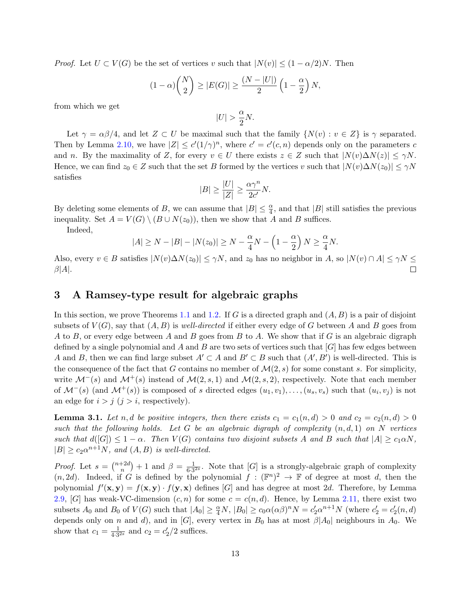*Proof.* Let  $U \subset V(G)$  be the set of vertices v such that  $|N(v)| \leq (1 - \alpha/2)N$ . Then

$$
(1 - \alpha) {N \choose 2} \ge |E(G)| \ge \frac{(N - |U|)}{2} \left(1 - \frac{\alpha}{2}\right) N,
$$

from which we get

$$
|U| > \frac{\alpha}{2}N.
$$

Let  $\gamma = \alpha \beta / 4$ , and let  $Z \subset U$  be maximal such that the family  $\{N(v) : v \in Z\}$  is  $\gamma$  separated. Then by Lemma [2.10,](#page-11-1) we have  $|Z| \leq c'(1/\gamma)^n$ , where  $c' = c'(c, n)$  depends only on the parameters c and n. By the maximality of Z, for every  $v \in U$  there exists  $z \in Z$  such that  $|N(v)\Delta N(z)| \leq \gamma N$ . Hence, we can find  $z_0 \in Z$  such that the set B formed by the vertices v such that  $|N(v)\Delta N(z_0)| \le \gamma N$ satisfies

$$
|B| \ge \frac{|U|}{|Z|} \ge \frac{\alpha \gamma^n}{2c'}N.
$$

By deleting some elements of B, we can assume that  $|B| \leq \frac{\alpha}{4}$ , and that  $|B|$  still satisfies the previous inequality. Set  $A = V(G) \setminus (B \cup N(z_0))$ , then we show that A and B suffices.

Indeed,

$$
|A| \ge N - |B| - |N(z_0)| \ge N - \frac{\alpha}{4}N - \left(1 - \frac{\alpha}{2}\right)N \ge \frac{\alpha}{4}N.
$$

Also, every  $v \in B$  satisfies  $|N(v)\Delta N(z_0)| \le \gamma N$ , and  $z_0$  has no neighbor in A, so  $|N(v) \cap A| \le \gamma N \le$  $\beta|A|.$ 

# <span id="page-12-0"></span>3 A Ramsey-type result for algebraic graphs

In this section, we prove Theorems [1.1](#page-1-0) and [1.2.](#page-2-0) If G is a directed graph and  $(A, B)$  is a pair of disjoint subsets of  $V(G)$ , say that  $(A, B)$  is well-directed if either every edge of G between A and B goes from A to B, or every edge between A and B goes from B to A. We show that if G is an algebraic digraph defined by a single polynomial and A and B are two sets of vertices such that  $[G]$  has few edges between A and B, then we can find large subset  $A' \subset A$  and  $B' \subset B$  such that  $(A', B')$  is well-directed. This is the consequence of the fact that G contains no member of  $\mathcal{M}(2, s)$  for some constant s. For simplicity, write  $\mathcal{M}^-(s)$  and  $\mathcal{M}^+(s)$  instead of  $\mathcal{M}(2, s, 1)$  and  $\mathcal{M}(2, s, 2)$ , respectively. Note that each member of  $\mathcal{M}^-(s)$  (and  $\mathcal{M}^+(s)$ ) is composed of s directed edges  $(u_1, v_1), \ldots, (u_s, v_s)$  such that  $(u_i, v_j)$  is not an edge for  $i > j$   $(j > i$ , respectively).

<span id="page-12-1"></span>**Lemma 3.1.** Let n, d be positive integers, then there exists  $c_1 = c_1(n,d) > 0$  and  $c_2 = c_2(n,d) > 0$ such that the following holds. Let G be an algebraic digraph of complexity  $(n, d, 1)$  on N vertices such that  $d([G]) \leq 1 - \alpha$ . Then  $V(G)$  contains two disjoint subsets A and B such that  $|A| \geq c_1 \alpha N$ ,  $|B| \ge c_2 \alpha^{n+1} N$ , and  $(A, B)$  is well-directed.

*Proof.* Let  $s = \binom{n+2d}{n}$  $\binom{+2d}{n}+1$  and  $\beta = \frac{1}{6\cdot 3}$  $\frac{1}{6 \cdot 3^{2s}}$ . Note that [G] is a strongly-algebraic graph of complexity  $(n, 2d)$ . Indeed, if G is defined by the polynomial  $f : (\mathbb{F}^n)^2 \to \mathbb{F}$  of degree at most d, then the polynomial  $f'(\mathbf{x}, \mathbf{y}) = f(\mathbf{x}, \mathbf{y}) \cdot f(\mathbf{y}, \mathbf{x})$  defines [G] and has degree at most 2d. Therefore, by Lemma [2.9,](#page-11-0) [G] has weak-VC-dimension  $(c, n)$  for some  $c = c(n, d)$ . Hence, by Lemma [2.11,](#page-11-2) there exist two subsets  $A_0$  and  $B_0$  of  $V(G)$  such that  $|A_0| \geq \frac{\alpha}{4}N$ ,  $|B_0| \geq c_0 \alpha(\alpha \beta)^n N = c'_2 \alpha^{n+1} N$  (where  $c'_2 = c'_2(n,d)$ depends only on n and d), and in [G], every vertex in  $B_0$  has at most  $\beta |A_0|$  neighbours in  $A_0$ . We show that  $c_1 = \frac{1}{4 \cdot 3}$  $\frac{1}{4 \cdot 3^{2s}}$  and  $c_2 = c'_2/2$  suffices.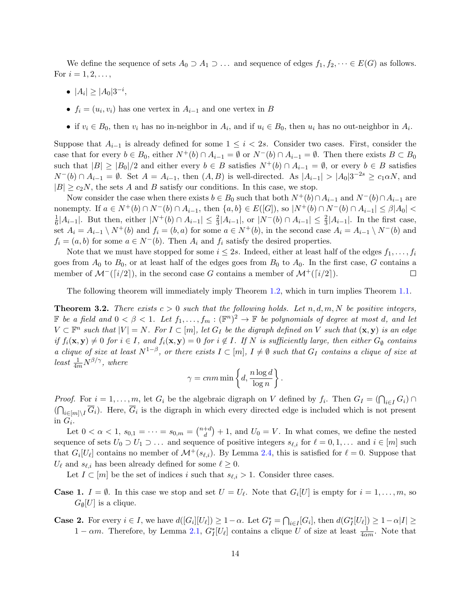We define the sequence of sets  $A_0 \supset A_1 \supset \ldots$  and sequence of edges  $f_1, f_2, \cdots \in E(G)$  as follows. For  $i = 1, 2, ...,$ 

- $|A_i| \geq |A_0| 3^{-i}$ ,
- $f_i = (u_i, v_i)$  has one vertex in  $A_{i-1}$  and one vertex in B
- if  $v_i \in B_0$ , then  $v_i$  has no in-neighbor in  $A_i$ , and if  $u_i \in B_0$ , then  $u_i$  has no out-neighbor in  $A_i$ .

Suppose that  $A_{i-1}$  is already defined for some  $1 \leq i < 2s$ . Consider two cases. First, consider the case that for every  $b \in B_0$ , either  $N^+(b) \cap A_{i-1} = \emptyset$  or  $N^-(b) \cap A_{i-1} = \emptyset$ . Then there exists  $B \subset B_0$ such that  $|B| \geq |B_0|/2$  and either every  $b \in B$  satisfies  $N^+(b) \cap A_{i-1} = \emptyset$ , or every  $b \in B$  satisfies  $N^{-}(b) \cap A_{i-1} = \emptyset$ . Set  $A = A_{i-1}$ , then  $(A, B)$  is well-directed. As  $|A_{i-1}| > |A_0|3^{-2s} \ge c_1 \alpha N$ , and  $|B| \ge c_2N$ , the sets A and B satisfy our conditions. In this case, we stop.

Now consider the case when there exists  $b \in B_0$  such that both  $N^+(b) \cap A_{i-1}$  and  $N^-(b) \cap A_{i-1}$  are nonempty. If  $a \in N^+(b) \cap N^-(b) \cap A_{i-1}$ , then  $\{a, b\} \in E([G]),$  so  $|N^+(b) \cap N^-(b) \cap A_{i-1}| \leq \beta |A_0|$ 1  $\frac{1}{6}|A_{i-1}|$ . But then, either  $|N^+(b) \cap A_{i-1}| \leq \frac{2}{3}|A_{i-1}|$ , or  $|N^-(b) \cap A_{i-1}| \leq \frac{2}{3}|A_{i-1}|$ . In the first case, set  $A_i = A_{i-1} \setminus N^+(b)$  and  $f_i = (b, a)$  for some  $a \in N^+(b)$ , in the second case  $A_i = A_{i-1} \setminus N^-(b)$  and  $f_i = (a, b)$  for some  $a \in N^-(b)$ . Then  $A_i$  and  $f_i$  satisfy the desired properties.

Note that we must have stopped for some  $i \leq 2s$ . Indeed, either at least half of the edges  $f_1, \ldots, f_i$ goes from  $A_0$  to  $B_0$ , or at least half of the edges goes from  $B_0$  to  $A_0$ . In the first case, G contains a member of  $\mathcal{M}^{-}(\lceil i/2 \rceil)$ , in the second case G contains a member of  $\mathcal{M}^{+}(\lceil i/2 \rceil)$ .  $\Box$ 

The following theorem will immediately imply Theorem [1.2,](#page-2-0) which in turn implies Theorem [1.1.](#page-1-0)

<span id="page-13-0"></span>**Theorem 3.2.** There exists  $c > 0$  such that the following holds. Let  $n, d, m, N$  be positive integers, F be a field and  $0 < \beta < 1$ . Let  $f_1, \ldots, f_m : (\mathbb{F}^n)^2 \to \mathbb{F}$  be polynomials of degree at most d, and let  $V \subset \mathbb{F}^n$  such that  $|V| = N$ . For  $I \subset [m]$ , let  $G_I$  be the digraph defined on V such that  $(\mathbf{x}, \mathbf{y})$  is an edge if  $f_i(\mathbf{x}, \mathbf{y}) \neq 0$  for  $i \in I$ , and  $f_i(\mathbf{x}, \mathbf{y}) = 0$  for  $i \notin I$ . If N is sufficiently large, then either  $G_{\emptyset}$  contains a clique of size at least  $N^{1-\beta}$ , or there exists  $I \subset [m], I \neq \emptyset$  such that  $G_I$  contains a clique of size at least  $\frac{1}{4m}N^{\beta/\gamma}$ , where

$$
\gamma = cnm \min \left\{ d, \frac{n \log d}{\log n} \right\}.
$$

*Proof.* For  $i = 1, ..., m$ , let  $G_i$  be the algebraic digraph on V defined by  $f_i$ . Then  $G_I = (\bigcap_{i \in I} G_i) \cap$  $(\bigcap_{i\in[m]\setminus I}\overline{G}_i)$ . Here,  $\overline{G}_i$  is the digraph in which every directed edge is included which is not present in  $G_i$ .

Let  $0 < \alpha < 1, s_{0,1} = \cdots = s_{0,m} = \binom{n+d}{d}$  $\binom{+d}{d}$  + 1, and  $U_0 = V$ . In what comes, we define the nested sequence of sets  $U_0 \supset U_1 \supset \dots$  and sequence of positive integers  $s_{\ell,i}$  for  $\ell = 0, 1, \dots$  and  $i \in [m]$  such that  $G_i[U_\ell]$  contains no member of  $\mathcal{M}^+(s_{\ell,i})$ . By Lemma [2.4,](#page-7-1) this is satisfied for  $\ell = 0$ . Suppose that  $U_{\ell}$  and  $s_{\ell,i}$  has been already defined for some  $\ell \geq 0$ .

Let  $I \subset [m]$  be the set of indices i such that  $s_{\ell,i} > 1$ . Consider three cases.

- **Case 1.**  $I = \emptyset$ . In this case we stop and set  $U = U_{\ell}$ . Note that  $G_i[U]$  is empty for  $i = 1, \ldots, m$ , so  $G_{\emptyset}[U]$  is a clique.
- **Case 2.** For every  $i \in I$ , we have  $d([G_i][U_\ell]) \geq 1-\alpha$ . Let  $G_I^* = \bigcap_{i \in I} [G_i]$ , then  $d(G_I^*[U_\ell]) \geq 1-\alpha |I| \geq 1-\alpha$  $1 - \alpha m$ . Therefore, by Lemma [2.1,](#page-6-0)  $G_I^*[U_\ell]$  contains a clique U of size at least  $\frac{1}{4\alpha m}$ . Note that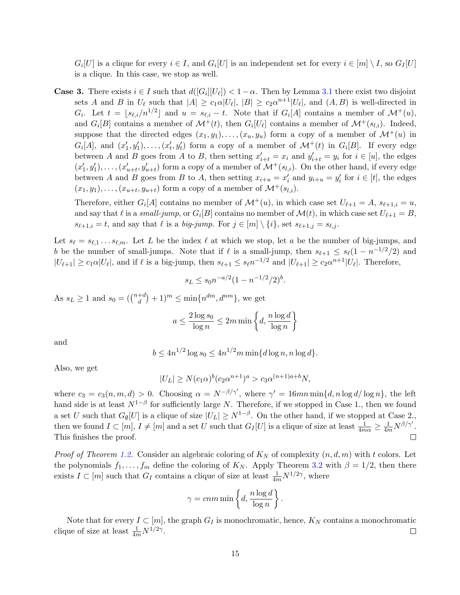$G_i[U]$  is a clique for every  $i \in I$ , and  $G_i[U]$  is an independent set for every  $i \in [m] \setminus I$ , so  $G_I[U]$ is a clique. In this case, we stop as well.

**Case 3.** There exists  $i \in I$  such that  $d([G_i][U_\ell]) < 1-\alpha$ . Then by Lemma [3.1](#page-12-1) there exist two disjoint sets A and B in  $U_{\ell}$  such that  $|A| \ge c_1 \alpha |U_{\ell}|$ ,  $|B| \ge c_2 \alpha^{n+1} |U_{\ell}|$ , and  $(A, B)$  is well-directed in  $G_i$ . Let  $t = \lfloor s_{\ell,i}/n^{1/2} \rfloor$  and  $u = s_{\ell,i} - t$ . Note that if  $G_i[A]$  contains a member of  $\mathcal{M}^+(u)$ , and  $G_i[B]$  contains a member of  $\mathcal{M}^+(t)$ , then  $G_i[U_\ell]$  contains a member of  $\mathcal{M}^+(s_{l,i})$ . Indeed, suppose that the directed edges  $(x_1, y_1), \ldots, (x_u, y_u)$  form a copy of a member of  $\mathcal{M}^+(u)$  in  $G_i[A]$ , and  $(x'_1, y'_1), \ldots, (x'_t, y'_t)$  form a copy of a member of  $\mathcal{M}^+(t)$  in  $G_i[B]$ . If every edge between A and B goes from A to B, then setting  $x'_{i+t} = x_i$  and  $y'_{i+t} = y_i$  for  $i \in [u]$ , the edges  $(x'_1, y'_1), \ldots, (x'_{u+t}, y'_{u+t})$  form a copy of a member of  $\mathcal{M}^+(s_{l,i})$ . On the other hand, if every edge between A and B goes from B to A, then setting  $x_{i+u} = x'_i$  and  $y_{i+u} = y'_i$  for  $i \in [t]$ , the edges  $(x_1, y_1), \ldots, (x_{u+t}, y_{u+t})$  form a copy of a member of  $\mathcal{M}^+(s_{l,i}).$ 

Therefore, either  $G_i[A]$  contains no member of  $\mathcal{M}^+(u)$ , in which case set  $U_{\ell+1} = A$ ,  $s_{\ell+1,i} = u$ , and say that  $\ell$  is a small-jump, or  $G_i[B]$  contains no member of  $\mathcal{M}(t)$ , in which case set  $U_{\ell+1} = B$ ,  $s_{\ell+1,i} = t$ , and say that  $\ell$  is a big-jump. For  $j \in [m] \setminus \{i\}$ , set  $s_{\ell+1,j} = s_{\ell,j}$ .

Let  $s_\ell = s_{\ell,1} \ldots s_{\ell,m}$ . Let L be the index  $\ell$  at which we stop, let a be the number of big-jumps, and b be the number of small-jumps. Note that if  $\ell$  is a small-jump, then  $s_{\ell+1} \leq s_{\ell}(1 - n^{-1/2}/2)$  and  $|U_{\ell+1}| \geq c_1 \alpha |U_{\ell}|$ , and if  $\ell$  is a big-jump, then  $s_{\ell+1} \leq s_{\ell} n^{-1/2}$  and  $|U_{\ell+1}| \geq c_2 \alpha^{n+1} |U_{\ell}|$ . Therefore,

$$
s_L \le s_0 n^{-a/2} (1 - n^{-1/2}/2)^b.
$$

As  $s_L \geq 1$  and  $s_0 = \left(\begin{matrix} n+d \\ d \end{matrix}\right)$  $\binom{+d}{d}+1)^m \leq \min\{n^{dm}, d^{nm}\},\,$  we get

$$
a \le \frac{2\log s_0}{\log n} \le 2m \min\left\{d, \frac{n\log d}{\log n}\right\}
$$

and

$$
b \le 4n^{1/2} \log s_0 \le 4n^{1/2} m \min\{d \log n, n \log d\}.
$$

Also, we get

$$
|U_L| \ge N(c_1 \alpha)^b (c_2 \alpha^{n+1})^a > c_3 \alpha^{(n+1)a + b} N,
$$

where  $c_3 = c_3(n, m, d) > 0$ . Choosing  $\alpha = N^{-\beta/\gamma'}$ , where  $\gamma' = 16mn \min\{d, n \log d / \log n\}$ , the left hand side is at least  $N^{1-\beta}$  for sufficiently large N. Therefore, if we stopped in Case 1., then we found a set U such that  $G_{\emptyset}[U]$  is a clique of size  $|U_L| \geq N^{1-\beta}$ . On the other hand, if we stopped at Case 2., then we found  $I \subset [m], I \neq [m]$  and a set U such that  $G_I[U]$  is a clique of size at least  $\frac{1}{4m\alpha} \geq \frac{1}{4m} N^{\beta/\gamma'}$ . This finishes the proof.  $\Box$ 

*Proof of Theorem [1.2.](#page-2-0)* Consider an algebraic coloring of  $K_N$  of complexity  $(n, d, m)$  with t colors. Let the polynomials  $f_1, \ldots, f_m$  define the coloring of  $K_N$ . Apply Theorem [3.2](#page-13-0) with  $\beta = 1/2$ , then there exists  $I \subset [m]$  such that  $G_I$  contains a clique of size at least  $\frac{1}{4m}N^{1/2\gamma}$ , where

$$
\gamma = cnm \min \left\{ d, \frac{n \log d}{\log n} \right\}.
$$

Note that for every  $I \subset [m]$ , the graph  $G_I$  is monochromatic, hence,  $K_N$  contains a monochromatic clique of size at least  $\frac{1}{4m}N^{1/2\gamma}$ .  $\Box$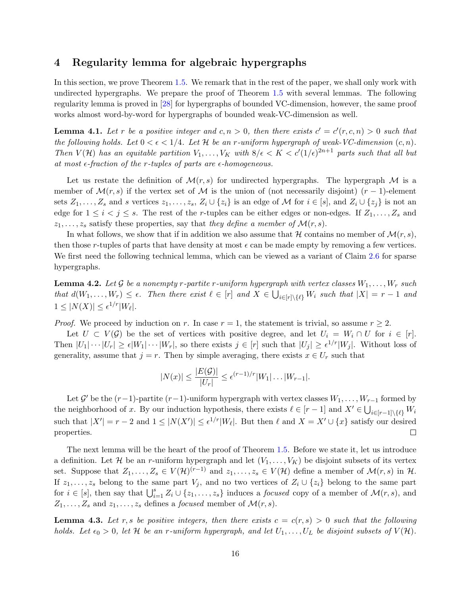# <span id="page-15-0"></span>4 Regularity lemma for algebraic hypergraphs

In this section, we prove Theorem [1.5.](#page-5-0) We remark that in the rest of the paper, we shall only work with undirected hypergraphs. We prepare the proof of Theorem [1.5](#page-5-0) with several lemmas. The following regularity lemma is proved in [\[28\]](#page-22-5) for hypergraphs of bounded VC-dimension, however, the same proof works almost word-by-word for hypergraphs of bounded weak-VC-dimension as well.

<span id="page-15-1"></span>**Lemma 4.1.** Let r be a positive integer and  $c, n > 0$ , then there exists  $c' = c'(r, c, n) > 0$  such that the following holds. Let  $0 < \epsilon < 1/4$ . Let H be an r-uniform hypergraph of weak-VC-dimension  $(c, n)$ . Then  $V(\mathcal{H})$  has an equitable partition  $V_1,\ldots,V_K$  with  $8/\epsilon < K < c'(1/\epsilon)^{2n+1}$  parts such that all but at most  $\epsilon$ -fraction of the r-tuples of parts are  $\epsilon$ -homogeneous.

Let us restate the definition of  $\mathcal{M}(r,s)$  for undirected hypergraphs. The hypergraph  $\mathcal M$  is a member of  $\mathcal{M}(r,s)$  if the vertex set of  $\mathcal M$  is the union of (not necessarily disjoint)  $(r-1)$ -element sets  $Z_1, \ldots, Z_s$  and s vertices  $z_1, \ldots, z_s, Z_i \cup \{z_i\}$  is an edge of M for  $i \in [s]$ , and  $Z_i \cup \{z_j\}$  is not an edge for  $1 \leq i \leq j \leq s$ . The rest of the r-tuples can be either edges or non-edges. If  $Z_1, \ldots, Z_s$  and  $z_1, \ldots, z_s$  satisfy these properties, say that they define a member of  $\mathcal{M}(r, s)$ .

In what follows, we show that if in addition we also assume that H contains no member of  $\mathcal{M}(r, s)$ , then those r-tuples of parts that have density at most  $\epsilon$  can be made empty by removing a few vertices. We first need the following technical lemma, which can be viewed as a variant of Claim [2.6](#page-8-2) for sparse hypergraphs.

<span id="page-15-2"></span>**Lemma 4.2.** Let G be a nonempty r-partite r-uniform hypergraph with vertex classes  $W_1, \ldots, W_r$  such that  $d(W_1,\ldots,W_r) \leq \epsilon$ . Then there exist  $\ell \in [r]$  and  $X \in \bigcup_{i \in [r] \setminus \{\ell\}} W_i$  such that  $|X| = r - 1$  and  $1 \leq |N(X)| \leq \epsilon^{1/r} |W_{\ell}|.$ 

*Proof.* We proceed by induction on r. In case  $r = 1$ , the statement is trivial, so assume  $r \geq 2$ .

Let  $U \subset V(\mathcal{G})$  be the set of vertices with positive degree, and let  $U_i = W_i \cap U$  for  $i \in [r]$ . Then  $|U_1|\cdots |U_r| \geq \epsilon |W_1|\cdots |W_r|$ , so there exists  $j \in [r]$  such that  $|U_j| \geq \epsilon^{1/r} |W_j|$ . Without loss of generality, assume that  $j = r$ . Then by simple averaging, there exists  $x \in U_r$  such that

$$
|N(x)| \le \frac{|E(\mathcal{G})|}{|U_r|} \le \epsilon^{(r-1)/r} |W_1| \dots |W_{r-1}|.
$$

Let  $\mathcal{G}'$  be the  $(r-1)$ -partite  $(r-1)$ -uniform hypergraph with vertex classes  $W_1, \ldots, W_{r-1}$  formed by the neighborhood of x. By our induction hypothesis, there exists  $\ell \in [r-1]$  and  $X' \in \bigcup_{i \in [r-1] \setminus \{\ell\}} W_i$ such that  $|X'| = r - 2$  and  $1 \leq |N(X')| \leq \epsilon^{1/r} |W_{\ell}|$ . But then  $\ell$  and  $X = X' \cup \{x\}$  satisfy our desired properties.  $\Box$ 

The next lemma will be the heart of the proof of Theorem [1.5.](#page-5-0) Before we state it, let us introduce a definition. Let H be an r-uniform hypergraph and let  $(V_1, \ldots, V_K)$  be disjoint subsets of its vertex set. Suppose that  $Z_1, \ldots, Z_s \in V(\mathcal{H})^{(r-1)}$  and  $z_1, \ldots, z_s \in V(\mathcal{H})$  define a member of  $\mathcal{M}(r, s)$  in  $\mathcal{H}$ . If  $z_1, \ldots, z_s$  belong to the same part  $V_j$ , and no two vertices of  $Z_i \cup \{z_i\}$  belong to the same part for  $i \in [s]$ , then say that  $\bigcup_{i=1}^s Z_i \cup \{z_1, \ldots, z_s\}$  induces a *focused* copy of a member of  $\mathcal{M}(r, s)$ , and  $Z_1, \ldots, Z_s$  and  $z_1, \ldots, z_s$  defines a *focused* member of  $\mathcal{M}(r, s)$ .

<span id="page-15-3"></span>**Lemma 4.3.** Let r, s be positive integers, then there exists  $c = c(r, s) > 0$  such that the following holds. Let  $\epsilon_0 > 0$ , let H be an r-uniform hypergraph, and let  $U_1, \ldots, U_L$  be disjoint subsets of  $V(\mathcal{H})$ .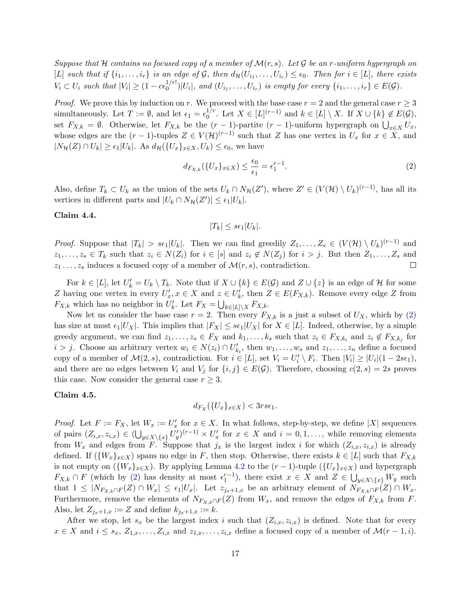Suppose that H contains no focused copy of a member of  $\mathcal{M}(r,s)$ . Let G be an r-uniform hypergraph on [L] such that if  $\{i_1,\ldots,i_r\}$  is an edge of G, then  $d_{\mathcal{H}}(U_{i_1},\ldots,U_{i_r}) \leq \epsilon_0$ . Then for  $i \in [L]$ , there exists  $V_i \subset U_i$  such that  $|V_i| \geq (1 - c \epsilon_0^{1/r!})$  $\{U_0^{1/r!}\}|U_i|$ , and  $(U_{i_1},\ldots,U_{i_r})$  is empty for every  $\{i_1,\ldots,i_r\}\in E(\mathcal{G})$ .

*Proof.* We prove this by induction on r. We proceed with the base case  $r = 2$  and the general case  $r \geq 3$ simultaneously. Let  $T := \emptyset$ , and let  $\epsilon_1 = \epsilon_0^{1/r}$  $\mathcal{L}_0^{1/r}$ . Let  $X \in [L]^{(r-1)}$  and  $k \in [L] \setminus X$ . If  $X \cup \{k\} \notin E(\mathcal{G}),$ set  $F_{X,k} = \emptyset$ . Otherwise, let  $F_{X,k}$  be the  $(r-1)$ -partite  $(r-1)$ -uniform hypergraph on  $\bigcup_{x \in X} U_x$ , whose edges are the  $(r-1)$ -tuples  $Z \in V(H)^{(r-1)}$  such that Z has one vertex in  $U_x$  for  $x \in X$ , and  $|N_{\mathcal{H}}(Z) \cap U_k| \geq \epsilon_1 |U_k|$ . As  $d_{\mathcal{H}}(\{U_x\}_{x \in X}, U_k) \leq \epsilon_0$ , we have

<span id="page-16-0"></span>
$$
d_{F_{X,k}}(\{U_x\}_{x\in X}) \le \frac{\epsilon_0}{\epsilon_1} = \epsilon_1^{r-1}.\tag{2}
$$

Also, define  $T_k \subset U_k$  as the union of the sets  $U_k \cap N_{\mathcal{H}}(Z')$ , where  $Z' \in (V(\mathcal{H}) \setminus U_k)^{(r-1)}$ , has all its vertices in different parts and  $|U_k \cap N_{\mathcal{H}}(Z')| \leq \epsilon_1 |U_k|$ .

#### Claim 4.4.

$$
|T_k| \le s\epsilon_1 |U_k|.
$$

*Proof.* Suppose that  $|T_k| > s\epsilon_1 |U_k|$ . Then we can find greedily  $Z_1, \ldots, Z_s \in (V(\mathcal{H}) \setminus U_k)^{(r-1)}$  and  $z_1, \ldots, z_s \in T_k$  such that  $z_i \in N(Z_i)$  for  $i \in [s]$  and  $z_i \notin N(Z_j)$  for  $i > j$ . But then  $Z_1, \ldots, Z_s$  and  $z_1 \ldots, z_s$  induces a focused copy of a member of  $\mathcal{M}(r, s)$ , contradiction.  $\Box$ 

For  $k \in [L]$ , let  $U'_k = U_k \setminus T_k$ . Note that if  $X \cup \{k\} \in E(\mathcal{G})$  and  $Z \cup \{z\}$  is an edge of  $\mathcal H$  for some Z having one vertex in every  $U'_x, x \in X$  and  $z \in U'_k$ , then  $Z \in E(F_{X,k})$ . Remove every edge Z from  $F_{X,k}$  which has no neighbor in  $U'_{k}$ . Let  $F_X = \bigcup_{k \in [L] \setminus X} F_{X,k}$ .

Now let us consider the base case  $r = 2$ . Then every  $F_{X,k}$  is a just a subset of  $U_X$ , which by [\(2\)](#page-16-0) has size at most  $\epsilon_1|U_X|$ . This implies that  $|F_X| \leq s\epsilon_1|U_X|$  for  $X \in [L]$ . Indeed, otherwise, by a simple greedy argument, we can find  $z_1, \ldots, z_s \in F_X$  and  $k_1, \ldots, k_s$  such that  $z_i \in F_{X,k_i}$  and  $z_i \notin F_{X,k_j}$  for  $i > j$ . Choose an arbitrary vertex  $w_i \in N(z_i) \cap U'_{k_i}$ , then  $w_1, \ldots, w_s$  and  $z_1, \ldots, z_n$  define a focused copy of a member of  $\mathcal{M}(2, s)$ , contradiction. For  $i \in [L]$ , set  $V_i = U'_i \setminus F_i$ . Then  $|V_i| \geq |U_i|(1 - 2s\epsilon_1)$ , and there are no edges between  $V_i$  and  $V_j$  for  $\{i, j\} \in E(\mathcal{G})$ . Therefore, choosing  $c(2, s) = 2s$  proves this case. Now consider the general case  $r \geq 3$ .

#### Claim 4.5.

$$
d_{F_X}(\{U_x\}_{x \in X}) < 3rs\epsilon_1.
$$

*Proof.* Let  $F := F_X$ , let  $W_x := U'_x$  for  $x \in X$ . In what follows, step-by-step, we define |X| sequences of pairs  $(Z_{i,x}, z_{i,x}) \in (\bigcup_{y \in X \setminus \{x\}} U'_y)^{(r-1)} \times U'_x$  for  $x \in X$  and  $i = 0, 1, \ldots$ , while removing elements from  $W_x$  and edges from F. Suppose that  $j_x$  is the largest index i for which  $(Z_{i,x}, z_{i,x})$  is already defined. If  $(\{W_x\}_{x\in X})$  spans no edge in F, then stop. Otherwise, there exists  $k \in [L]$  such that  $F_{X,k}$ is not empty on  $({W_x}_{x\in X})$ . By applying Lemma [4.2](#page-15-2) to the  $(r-1)$ -tuple  $({U_x}_{x\in X})$  and hypergraph  $F_{X,k} \cap F$  (which by [\(2\)](#page-16-0) has density at most  $\epsilon_1^{r-1}$ ), there exist  $x \in X$  and  $Z \in \bigcup_{y \in X \setminus \{x\}} W_y$  such that  $1 \leq |N_{F_{X,k} \cap F}(Z) \cap W_x| \leq \epsilon_1 |U_x|$ . Let  $z_{j_x+1,x}$  be an arbitrary element of  $N_{F_{X,k} \cap F}(Z) \cap W_x$ . Furthermore, remove the elements of  $N_{F_{X,k} \cap F}(Z)$  from  $W_x$ , and remove the edges of  $F_{X,k}$  from F. Also, let  $Z_{j_x+1,x} := Z$  and define  $k_{j_x+1,x} := k$ .

After we stop, let  $s_x$  be the largest index i such that  $(Z_{i,x}, z_{i,x})$  is defined. Note that for every  $x \in X$  and  $i \leq s_x, Z_{1,x}, \ldots, Z_{i,x}$  and  $z_{1,x}, \ldots, z_{i,x}$  define a focused copy of a member of  $\mathcal{M}(r-1,i)$ .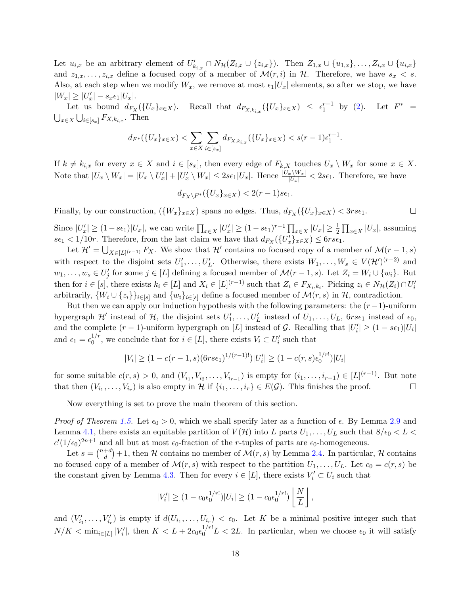Let  $u_{i,x}$  be an arbitrary element of  $U'_{k_{i,x}} \cap N_{\mathcal{H}}(Z_{i,x} \cup \{z_{i,x}\})$ . Then  $Z_{1,x} \cup \{u_{1,x}\}, \ldots, Z_{i,x} \cup \{u_{i,x}\}$ and  $z_{1,x},\ldots,z_{i,x}$  define a focused copy of a member of  $\mathcal{M}(r,i)$  in  $\mathcal{H}$ . Therefore, we have  $s_x < s$ . Also, at each step when we modify  $W_x$ , we remove at most  $\epsilon_1|U_x|$  elements, so after we stop, we have  $|W_x| \geq |U'_x| - s_x \epsilon_1 |U_x|.$ 

Let us bound  $d_{F_X}(\{U_x\}_{x\in X})$ . Recall that  $d_{F_{X,k_{i,x}}}(\{U_x\}_{x\in X}) \leq \epsilon_1^{r-1}$  by [\(2\)](#page-16-0). Let  $F^*$  =  $\bigcup_{x\in X}\bigcup_{i\in [s_x]}F_{X,k_{i,x}}$ . Then

$$
d_{F^*}(\{U_x\}_{x \in X}) < \sum_{x \in X} \sum_{i \in [s_x]} d_{F_{X,k_{i,x}}}(\{U_x\}_{x \in X}) < s(r-1)\epsilon_1^{r-1}.
$$

If  $k \neq k_{i,x}$  for every  $x \in X$  and  $i \in [s_x]$ , then every edge of  $F_{k,X}$  touches  $U_x \setminus W_x$  for some  $x \in X$ . Note that  $|U_x \setminus W_x| = |U_x \setminus U'_x| + |U'_x \setminus W_x| \leq 2s\epsilon_1 |U_x|$ . Hence  $\frac{|U_x \setminus W_x|}{|U_x|} < 2s\epsilon_1$ . Therefore, we have

$$
d_{F_X \backslash F^*}(\{U_x\}_{x \in X}) < 2(r-1)s\epsilon_1.
$$

Finally, by our construction,  $({W_x}_{x \in X})$  spans no edges. Thus,  $d_{F_X}({U_x}_{x \in X}) < 3rs\epsilon_1$ .  $\Box$ 

Since  $|U'_x| \ge (1 - s\epsilon_1)|U_x|$ , we can write  $\prod_{x \in X} |U'_x| \ge (1 - s\epsilon_1)^{r-1} \prod_{x \in X} |U_x| \ge \frac{1}{2} \prod_{x \in X} |U_x|$ , assuming  $s\epsilon_1 < 1/10r$ . Therefore, from the last claim we have that  $d_{F_X}(\{U'_x\}_{x\in X}) \leq 6rs\epsilon_1$ .

Let  $\mathcal{H}' = \bigcup_{X \in [L]^{(r-1)}} F_X$ . We show that  $\mathcal{H}'$  contains no focused copy of a member of  $\mathcal{M}(r-1, s)$ with respect to the disjoint sets  $U'_1, \ldots, U'_L$ . Otherwise, there exists  $W_1, \ldots, W_s \in V(\mathcal{H}')^{(r-2)}$  and  $w_1, \ldots, w_s \in U'_j$  for some  $j \in [L]$  defining a focused member of  $\mathcal{M}(r-1, s)$ . Let  $Z_i = W_i \cup \{w_i\}$ . But then for  $i \in [s]$ , there exists  $k_i \in [L]$  and  $X_i \in [L]^{(r-1)}$  such that  $Z_i \in F_{X_i,k_i}$ . Picking  $z_i \in N_{\mathcal{H}}(Z_i) \cap U_i'$ arbitrarily,  $\{W_i \cup \{z_i\}\}_{i \in [s]}$  and  $\{w_i\}_{i \in [s]}$  define a focused member of  $\mathcal{M}(r, s)$  in  $\mathcal{H}$ , contradiction.

But then we can apply our induction hypothesis with the following parameters: the  $(r-1)$ -uniform hypergraph  $\mathcal{H}'$  instead of  $\mathcal{H}$ , the disjoint sets  $U'_1,\ldots,U'_L$  instead of  $U_1,\ldots,U_L$ ,  $\text{6}r\text{se}_1$  instead of  $\epsilon_0$ , and the complete  $(r-1)$ -uniform hypergraph on [L] instead of G. Recalling that  $|U_i'| \geq (1 - s\epsilon_1)|U_i|$ and  $\epsilon_1 = \epsilon_0^{1/r}$  $_0^{1/r}$ , we conclude that for  $i \in [L]$ , there exists  $V_i \subset U'_i$  such that

$$
|V_i| \ge (1 - c(r - 1, s)(6rs\epsilon_1)^{1/(r-1)!})|U_i'| \ge (1 - c(r, s)\epsilon_0^{1/r!})|U_i|
$$

for some suitable  $c(r,s) > 0$ , and  $(V_{i_1}, V_{i_2}, \ldots, V_{i_{r-1}})$  is empty for  $(i_1, \ldots, i_{r-1}) \in [L]^{(r-1)}$ . But note that then  $(V_{i_1},...,V_{i_r})$  is also empty in H if  $\{i_1,...,i_r\} \in E(G)$ . This finishes the proof.  $\Box$ 

Now everything is set to prove the main theorem of this section.

*Proof of Theorem [1.5.](#page-5-0)* Let  $\epsilon_0 > 0$ , which we shall specify later as a function of  $\epsilon$ . By Lemma [2.9](#page-11-0) and Lemma [4.1,](#page-15-1) there exists an equitable partition of  $V(\mathcal{H})$  into L parts  $U_1, \ldots, U_L$  such that  $8/\epsilon_0 < L <$  $c'(1/\epsilon_0)^{2n+1}$  and all but at most  $\epsilon_0$ -fraction of the *r*-tuples of parts are  $\epsilon_0$ -homogeneous.

Let  $s = \binom{n+d}{d}$  $\mathcal{H}_d^{+d}$  + 1, then H contains no member of  $\mathcal{M}(r,s)$  by Lemma [2.4.](#page-7-1) In particular, H contains no focused copy of a member of  $\mathcal{M}(r,s)$  with respect to the partition  $U_1, \ldots, U_L$ . Let  $c_0 = c(r, s)$  be the constant given by Lemma [4.3.](#page-15-3) Then for every  $i \in [L]$ , there exists  $V_i' \subset U_i$  such that

$$
|V'_i| \ge (1 - c_0 \epsilon_0^{1/r!}) |U_i| \ge (1 - c_0 \epsilon_0^{1/r!}) \left[ \frac{N}{L} \right],
$$

and  $(V'_{i_1},...,V'_{i_r})$  is empty if  $d(U_{i_1},...,U_{i_r}) < \epsilon_0$ . Let K be a minimal positive integer such that  $N/K < \min_{i \in [L]} |V'_i|$ , then  $K < L + 2c_0 \epsilon_0^{1/r} L < 2L$ . In particular, when we choose  $\epsilon_0$  it will satisfy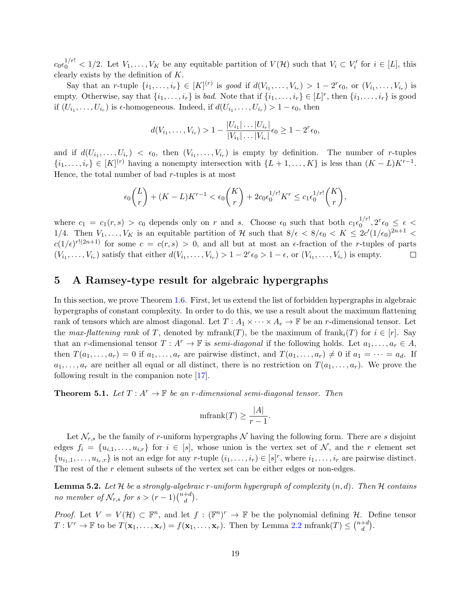$c_0 \epsilon_0^{1/r!} < 1/2$ . Let  $V_1, \ldots, V_K$  be any equitable partition of  $V(\mathcal{H})$  such that  $V_i \subset V'_i$  for  $i \in [L]$ , this clearly exists by the definition of K.

Say that an r-tuple  $\{i_1,\ldots,i_r\} \in [K]^{(r)}$  is good if  $d(V_{i_1},\ldots,V_{i_r}) > 1-2^r \epsilon_0$ , or  $(V_{i_1},\ldots,V_{i_r})$  is empty. Otherwise, say that  $\{i_1, \ldots, i_r\}$  is *bad*. Note that if  $\{i_1, \ldots, i_r\} \in [L]^r$ , then  $\{i_1, \ldots, i_r\}$  is good if  $(U_{i_1},...,U_{i_r})$  is  $\epsilon$ -homogeneous. Indeed, if  $d(U_{i_1},...,U_{i_r}) > 1 - \epsilon_0$ , then

$$
d(V_{i_1},\ldots,V_{i_r}) > 1 - \frac{|U_{i_1}|\ldots|U_{i_r}|}{|V_{i_1}|\ldots|V_{i_r}|}\epsilon_0 \ge 1 - 2^r\epsilon_0,
$$

and if  $d(U_{i_1},...,U_{i_r}) < \epsilon_0$ , then  $(V_{i_1},...,V_{i_r})$  is empty by definition. The number of *r*-tuples  $\{i_1,\ldots,i_r\} \in [K]^{(r)}$  having a nonempty intersection with  $\{L+1,\ldots,K\}$  is less than  $(K-L)K^{r-1}$ . Hence, the total number of bad  $r$ -tuples is at most

$$
\epsilon_0 \binom{L}{r} + (K - L)K^{r-1} < \epsilon_0 \binom{K}{r} + 2c_0 \epsilon_0^{1/r!} K^r \leq c_1 \epsilon_0^{1/r!} \binom{K}{r},
$$

where  $c_1 = c_1(r, s) > c_0$  depends only on r and s. Choose  $\epsilon_0$  such that both  $c_1 \epsilon_0^{1/r!}$  $\frac{1/r!}{0}, 2^r \epsilon_0 \ \leq \ \epsilon \ <$ 1/4. Then  $V_1,\ldots,V_K$  is an equitable partition of H such that  $8/\epsilon < 8/\epsilon_0 < K \leq 2c'(1/\epsilon_0)^{2n+1} <$  $c(1/\epsilon)^{r!(2n+1)}$  for some  $c = c(r, s) > 0$ , and all but at most an e-fraction of the r-tuples of parts  $(V_{i_1},\ldots,V_{i_r})$  satisfy that either  $d(V_{i_1},\ldots,V_{i_r}) > 1-2^r \epsilon_0 > 1-\epsilon$ , or  $(V_{i_1},\ldots,V_{i_r})$  is empty.  $\Box$ 

# <span id="page-18-0"></span>5 A Ramsey-type result for algebraic hypergraphs

In this section, we prove Theorem [1.6.](#page-5-1) First, let us extend the list of forbidden hypergraphs in algebraic hypergraphs of constant complexity. In order to do this, we use a result about the maximum flattening rank of tensors which are almost diagonal. Let  $T: A_1 \times \cdots \times A_r \to \mathbb{F}$  be an r-dimensional tensor. Let the max-flattening rank of T, denoted by mfrank(T), be the maximum of frank $_i(T)$  for  $i \in [r]$ . Say that an r-dimensional tensor  $T : A^r \to \mathbb{F}$  is semi-diagonal if the following holds. Let  $a_1, \ldots, a_r \in A$ , then  $T(a_1, \ldots, a_r) = 0$  if  $a_1, \ldots, a_r$  are pairwise distinct, and  $T(a_1, \ldots, a_r) \neq 0$  if  $a_1 = \cdots = a_d$ . If  $a_1, \ldots, a_r$  are neither all equal or all distinct, there is no restriction on  $T(a_1, \ldots, a_r)$ . We prove the following result in the companion note [\[17\]](#page-21-14).

<span id="page-18-1"></span>**Theorem 5.1.** Let  $T : A^r \to \mathbb{F}$  be an r-dimensional semi-diagonal tensor. Then

$$
\text{mfrank}(T) \ge \frac{|A|}{r-1}.
$$

Let  $\mathcal{N}_{r,s}$  be the family of r-uniform hypergraphs  $\mathcal N$  having the following form. There are s disjoint edges  $f_i = \{u_{i,1}, \ldots, u_{i,r}\}\$ for  $i \in [s]$ , whose union is the vertex set of  $\mathcal{N}$ , and the r element set  $\{u_{i_1,1},\ldots,u_{i_r,r}\}\$ is not an edge for any r-tuple  $(i_1,\ldots,i_r)\in [s]^r$ , where  $i_1,\ldots,i_r$  are pairwise distinct. The rest of the r element subsets of the vertex set can be either edges or non-edges.

<span id="page-18-2"></span>**Lemma 5.2.** Let H be a strongly-algebraic r-uniform hypergraph of complexity  $(n, d)$ . Then H contains no member of  $\mathcal{N}_{r,s}$  for  $s > (r-1) \binom{n+d}{d}$  $\binom{+d}{d}$ .

*Proof.* Let  $V = V(\mathcal{H}) \subset \mathbb{F}^n$ , and let  $f : (\mathbb{F}^n)^r \to \mathbb{F}$  be the polynomial defining  $\mathcal{H}$ . Define tensor  $T: V^r \to \mathbb{F}$  to be  $T(\mathbf{x}_1,\ldots,\mathbf{x}_r) = f(\mathbf{x}_1,\ldots,\mathbf{x}_r)$ . Then by Lemma [2.2](#page-7-0) mfrank $(T) \leq {n+d \choose d}$  $\binom{+d}{d}$ .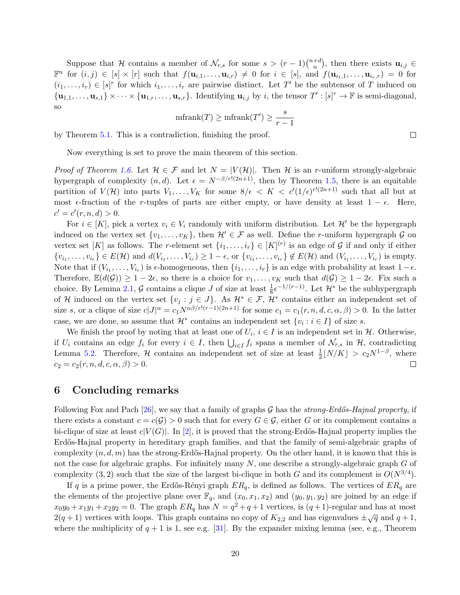Suppose that H contains a member of  $\mathcal{N}_{r,s}$  for some  $s > (r-1)\binom{n+d}{n}$  $\binom{+d}{n}$ , then there exists  $\mathbf{u}_{i,j} \in$  $\mathbb{F}^n$  for  $(i, j) \in [s] \times [r]$  such that  $f(\mathbf{u}_{i,1}, \ldots, \mathbf{u}_{i,r}) \neq 0$  for  $i \in [s]$ , and  $f(\mathbf{u}_{i,1}, \ldots, \mathbf{u}_{i_r}, r) = 0$  for  $(i_1,\ldots,i_r) \in [s]^r$  for which  $i_1,\ldots,i_r$  are pairwise distinct. Let T' be the subtensor of T induced on  ${\bf u}_{1,1},\ldots,{\bf u}_{s,1}\}\times\cdots\times{\bf u}_{1,r},\ldots,{\bf u}_{s,r}$ . Identifying  ${\bf u}_{i,j}$  by i, the tensor  $T':[s]^r\to\mathbb{F}$  is semi-diagonal, so

$$
\mathrm{mfrank}(T) \ge \mathrm{mfrank}(T') \ge \frac{s}{r-1}
$$

by Theorem [5.1.](#page-18-1) This is a contradiction, finishing the proof.

Now everything is set to prove the main theorem of this section.

*Proof of Theorem [1.6.](#page-5-1)* Let  $\mathcal{H} \in \mathcal{F}$  and let  $N = |V(\mathcal{H})|$ . Then H is an r-uniform strongly-algebraic hypergraph of complexity  $(n, d)$ . Let  $\epsilon = N^{-\beta/r!(2n+1)}$ , then by Theorem [1.5,](#page-5-0) there is an equitable partition of  $V(\mathcal{H})$  into parts  $V_1,\ldots,V_K$  for some  $8/\epsilon < K < c'(1/\epsilon)^{r!(2n+1)}$  such that all but at most  $\epsilon$ -fraction of the r-tuples of parts are either empty, or have density at least  $1 - \epsilon$ . Here,  $c' = c'(r, n, d) > 0.$ 

For  $i \in [K]$ , pick a vertex  $v_i \in V_i$  randomly with uniform distribution. Let  $\mathcal{H}'$  be the hypergraph induced on the vertex set  $\{v_1, \ldots, v_K\}$ , then  $\mathcal{H}' \in \mathcal{F}$  as well. Define the r-uniform hypergraph  $\mathcal G$  on vertex set [K] as follows. The r-element set  $\{i_1, \ldots, i_r\} \in [K]^{(r)}$  is an edge of G if and only if either  $\{v_{i_1},\ldots,v_{i_r}\}\in E(\mathcal{H})$  and  $d(V_{i_1},\ldots,V_{i_r})\geq 1-\epsilon$ , or  $\{v_{i_1},\ldots,v_{i_r}\}\notin E(\mathcal{H})$  and  $(V_{i_1},\ldots,V_{i_r})$  is empty. Note that if  $(V_{i_1},...,V_{i_r})$  is  $\epsilon$ -homogeneous, then  $\{i_1,...,i_r\}$  is an edge with probability at least  $1-\epsilon$ . Therefore,  $\mathbb{E}(d(\mathcal{G})) \geq 1-2\epsilon$ , so there is a choice for  $v_1, \ldots, v_K$  such that  $d(\mathcal{G}) \geq 1-2\epsilon$ . Fix such a choice. By Lemma [2.1,](#page-6-0)  $\mathcal G$  contains a clique  $J$  of size at least  $\frac{1}{8} \epsilon^{-1/(r-1)}$ . Let  $\mathcal H^*$  be the subhypergraph of H induced on the vertex set  $\{v_j : j \in J\}$ . As  $\mathcal{H}^* \in \mathcal{F}$ ,  $\mathcal{H}^*$  contains either an independent set of size s, or a clique of size  $c|J|^{\alpha} = c_1 N^{\alpha\beta/r!(r-1)(2n+1)}$  for some  $c_1 = c_1(r, n, d, c, \alpha, \beta) > 0$ . In the latter case, we are done, so assume that  $\mathcal{H}^*$  contains an independent set  $\{v_i : i \in I\}$  of size s.

We finish the proof by noting that at least one of  $U_i$ ,  $i \in I$  is an independent set in  $H$ . Otherwise, if  $U_i$  contains an edge  $f_i$  for every  $i \in I$ , then  $\bigcup_{i \in I} f_i$  spans a member of  $\mathcal{N}_{r,s}$  in  $\mathcal{H}$ , contradicting Lemma [5.2.](#page-18-2) Therefore,  $H$  contains an independent set of size at least  $\frac{1}{2}[N/K] > c_2 N^{1-\beta}$ , where  $c_2 = c_2(r, n, d, c, \alpha, \beta) > 0.$  $\Box$ 

### 6 Concluding remarks

Following Fox and Pach [\[26\]](#page-22-13), we say that a family of graphs G has the strong-Erdős-Hajnal property, if there exists a constant  $c = c(G) > 0$  such that for every  $G \in \mathcal{G}$ , either G or its complement contains a bi-clique of size at least  $c|V(G)|$ . In [\[2\]](#page-20-1), it is proved that the strong-Erdős-Hajnal property implies the Erdős-Hajnal property in hereditary graph families, and that the family of semi-algebraic graphs of complexity  $(n, d, m)$  has the strong-Erdős-Hajnal property. On the other hand, it is known that this is not the case for algebraic graphs. For infinitely many  $N$ , one describe a strongly-algebraic graph  $G$  of complexity (3, 2) such that the size of the largest bi-clique in both G and its complement is  $O(N^{3/4})$ .

If q is a prime power, the Erdős-Rényi graph  $ER_q$ , is defined as follows. The vertices of  $ER_q$  are the elements of the projective plane over  $\mathbb{F}_q$ , and  $(x_0, x_1, x_2)$  and  $(y_0, y_1, y_2)$  are joined by an edge if  $x_0y_0 + x_1y_1 + x_2y_2 = 0$ . The graph  $ER_q$  has  $N = q^2 + q + 1$  vertices, is  $(q+1)$ -regular and has at most  $2(q+1)$  vertices with loops. This graph contains no copy of  $K_{2,2}$  and has eigenvalues  $\pm \sqrt{q}$  and  $q+1$ , where the multiplicity of  $q + 1$  is 1, see e.g. [\[31\]](#page-22-14). By the expander mixing lemma (see, e.g., Theorem

 $\Box$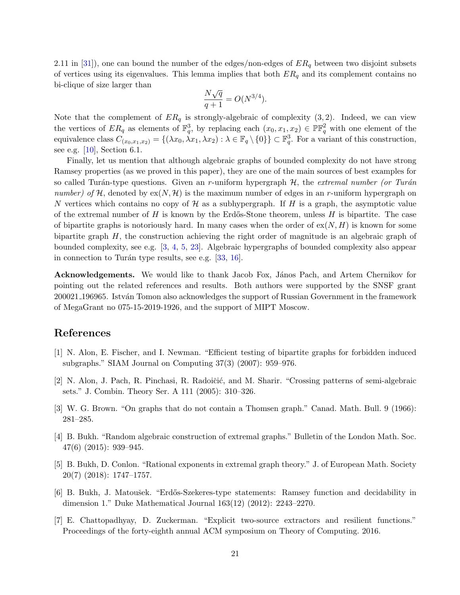2.11 in [\[31\]](#page-22-14)), one can bound the number of the edges/non-edges of  $ER<sub>q</sub>$  between two disjoint subsets of vertices using its eigenvalues. This lemma implies that both  $ER<sub>q</sub>$  and its complement contains no bi-clique of size larger than

$$
\frac{N\sqrt{q}}{q+1} = O(N^{3/4}).
$$

Note that the complement of  $ER<sub>q</sub>$  is strongly-algebraic of complexity (3, 2). Indeed, we can view the vertices of  $ER_q$  as elements of  $\mathbb{F}_q^3$ , by replacing each  $(x_0, x_1, x_2) \in \mathbb{PF}_q^2$  with one element of the equivalence class  $C_{(x_0,x_1,x_2)} = \{(\lambda x_0, \lambda x_1, \lambda x_2) : \lambda \in \mathbb{F}_q \setminus \{0\}\} \subset \mathbb{F}_q^3$ . For a variant of this construction, see e.g. [\[10\]](#page-21-15), Section 6.1.

Finally, let us mention that although algebraic graphs of bounded complexity do not have strong Ramsey properties (as we proved in this paper), they are one of the main sources of best examples for so called Turán-type questions. Given an r-uniform hypergraph  $H$ , the extremal number (or Turán number) of H, denoted by  $ex(N, \mathcal{H})$  is the maximum number of edges in an r-uniform hypergraph on N vertices which contains no copy of  $\mathcal H$  as a subhypergraph. If H is a graph, the asymptotic value of the extremal number of  $H$  is known by the Erdős-Stone theorem, unless  $H$  is bipartite. The case of bipartite graphs is notoriously hard. In many cases when the order of  $ex(N, H)$  is known for some bipartite graph H, the construction achieving the right order of magnitude is an algebraic graph of bounded complexity, see e.g. [\[3,](#page-20-4) [4,](#page-20-5) [5,](#page-20-6) [23\]](#page-21-16). Algebraic hypergraphs of bounded complexity also appear in connection to Turán type results, see e.g.  $[33, 16]$  $[33, 16]$  $[33, 16]$ .

**Acknowledgements.** We would like to thank Jacob Fox, János Pach, and Artem Chernikov for pointing out the related references and results. Both authors were supported by the SNSF grant 200021\_196965. István Tomon also acknowledges the support of Russian Government in the framework of MegaGrant no 075-15-2019-1926, and the support of MIPT Moscow.

### References

- <span id="page-20-3"></span>[1] N. Alon, E. Fischer, and I. Newman. "Efficient testing of bipartite graphs for forbidden induced subgraphs." SIAM Journal on Computing 37(3) (2007): 959–976.
- <span id="page-20-1"></span>[2] N. Alon, J. Pach, R. Pinchasi, R. Radoičić, and M. Sharir. "Crossing patterns of semi-algebraic sets." J. Combin. Theory Ser. A 111 (2005): 310–326.
- <span id="page-20-4"></span>[3] W. G. Brown. "On graphs that do not contain a Thomsen graph." Canad. Math. Bull. 9 (1966): 281–285.
- <span id="page-20-5"></span>[4] B. Bukh. "Random algebraic construction of extremal graphs." Bulletin of the London Math. Soc. 47(6) (2015): 939–945.
- <span id="page-20-6"></span>[5] B. Bukh, D. Conlon. "Rational exponents in extremal graph theory." J. of European Math. Society 20(7) (2018): 1747–1757.
- <span id="page-20-2"></span>[6] B. Bukh, J. Matoušek. "Erdős-Szekeres-type statements: Ramsey function and decidability in dimension 1." Duke Mathematical Journal 163(12) (2012): 2243–2270.
- <span id="page-20-0"></span>[7] E. Chattopadhyay, D. Zuckerman. "Explicit two-source extractors and resilient functions." Proceedings of the forty-eighth annual ACM symposium on Theory of Computing. 2016.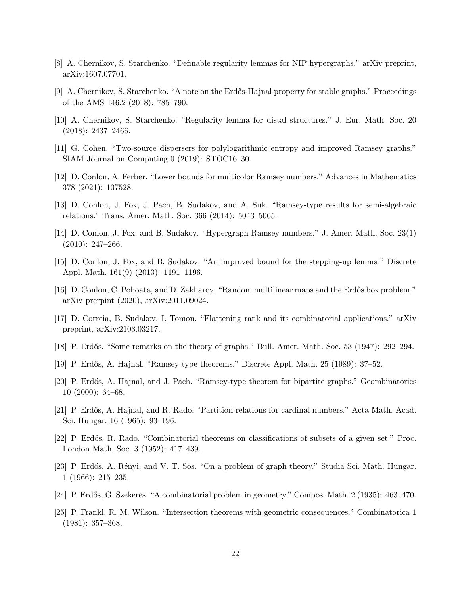- <span id="page-21-13"></span>[8] A. Chernikov, S. Starchenko. "Definable regularity lemmas for NIP hypergraphs." arXiv preprint, arXiv:1607.07701.
- <span id="page-21-10"></span>[9] A. Chernikov, S. Starchenko. "A note on the Erdős-Hajnal property for stable graphs." Proceedings of the AMS 146.2 (2018): 785–790.
- <span id="page-21-15"></span>[10] A. Chernikov, S. Starchenko. "Regularity lemma for distal structures." J. Eur. Math. Soc. 20  $(2018): 2437 - 2466.$
- <span id="page-21-3"></span>[11] G. Cohen. "Two-source dispersers for polylogarithmic entropy and improved Ramsey graphs." SIAM Journal on Computing 0 (2019): STOC16–30.
- <span id="page-21-4"></span>[12] D. Conlon, A. Ferber. "Lower bounds for multicolor Ramsey numbers." Advances in Mathematics 378 (2021): 107528.
- <span id="page-21-9"></span>[13] D. Conlon, J. Fox, J. Pach, B. Sudakov, and A. Suk. "Ramsey-type results for semi-algebraic relations." Trans. Amer. Math. Soc. 366 (2014): 5043–5065.
- <span id="page-21-7"></span>[14] D. Conlon, J. Fox, and B. Sudakov. "Hypergraph Ramsey numbers." J. Amer. Math. Soc. 23(1)  $(2010): 247 - 266.$
- <span id="page-21-8"></span>[15] D. Conlon, J. Fox, and B. Sudakov. "An improved bound for the stepping-up lemma." Discrete Appl. Math. 161(9) (2013): 1191–1196.
- <span id="page-21-17"></span>[16] D. Conlon, C. Pohoata, and D. Zakharov. "Random multilinear maps and the Erdős box problem." arXiv prerpint (2020), arXiv:2011.09024.
- <span id="page-21-14"></span>[17] D. Correia, B. Sudakov, I. Tomon. "Flattening rank and its combinatorial applications." arXiv preprint, arXiv:2103.03217.
- <span id="page-21-1"></span>[18] P. Erdős. "Some remarks on the theory of graphs." Bull. Amer. Math. Soc. 53 (1947): 292–294.
- <span id="page-21-11"></span>[19] P. Erd˝os, A. Hajnal. "Ramsey-type theorems." Discrete Appl. Math. 25 (1989): 37–52.
- <span id="page-21-12"></span>[20] P. Erdős, A. Hajnal, and J. Pach. "Ramsey-type theorem for bipartite graphs." Geombinatorics 10 (2000): 64–68.
- <span id="page-21-5"></span>[21] P. Erdős, A. Hajnal, and R. Rado. "Partition relations for cardinal numbers." Acta Math. Acad. Sci. Hungar. 16 (1965): 93–196.
- <span id="page-21-6"></span>[22] P. Erd˝os, R. Rado. "Combinatorial theorems on classifications of subsets of a given set." Proc. London Math. Soc. 3 (1952): 417–439.
- <span id="page-21-16"></span>[23] P. Erdős, A. Rényi, and V. T. Sós. "On a problem of graph theory." Studia Sci. Math. Hungar. 1 (1966): 215–235.
- <span id="page-21-0"></span>[24] P. Erdős, G. Szekeres. "A combinatorial problem in geometry." Compos. Math. 2 (1935): 463–470.
- <span id="page-21-2"></span>[25] P. Frankl, R. M. Wilson. "Intersection theorems with geometric consequences." Combinatorica 1 (1981): 357–368.